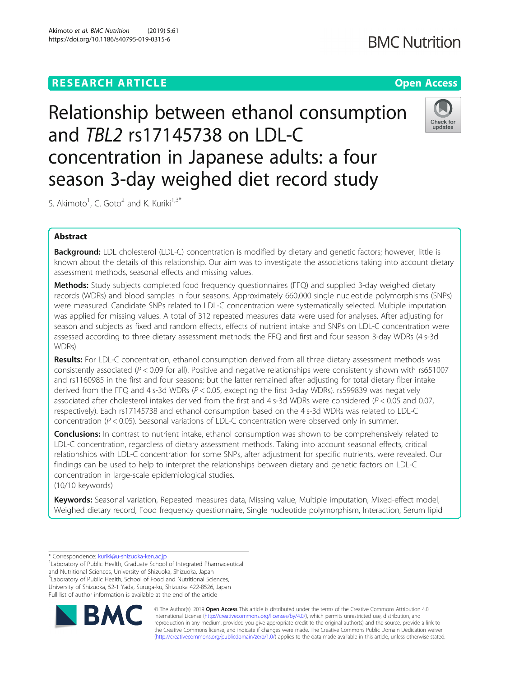# **RESEARCH ARTICLE Example 2014 12:30 The Contract of Contract ACCESS**

# Relationship between ethanol consumption and TBL2 rs17145738 on LDL-C concentration in Japanese adults: a four season 3-day weighed diet record study

S. Akimoto<sup>1</sup>, C. Goto<sup>2</sup> and K. Kuriki<sup>1,3\*</sup>

## Abstract

Background: LDL cholesterol (LDL-C) concentration is modified by dietary and genetic factors; however, little is known about the details of this relationship. Our aim was to investigate the associations taking into account dietary assessment methods, seasonal effects and missing values.

**Methods:** Study subjects completed food frequency questionnaires (FFQ) and supplied 3-day weighed dietary records (WDRs) and blood samples in four seasons. Approximately 660,000 single nucleotide polymorphisms (SNPs) were measured. Candidate SNPs related to LDL-C concentration were systematically selected. Multiple imputation was applied for missing values. A total of 312 repeated measures data were used for analyses. After adjusting for season and subjects as fixed and random effects, effects of nutrient intake and SNPs on LDL-C concentration were assessed according to three dietary assessment methods: the FFQ and first and four season 3-day WDRs (4 s-3d WDRs).

Results: For LDL-C concentration, ethanol consumption derived from all three dietary assessment methods was consistently associated ( $P < 0.09$  for all). Positive and negative relationships were consistently shown with rs651007 and rs1160985 in the first and four seasons; but the latter remained after adjusting for total dietary fiber intake derived from the FFQ and 4 s-3d WDRs ( $P < 0.05$ , excepting the first 3-day WDRs). rs599839 was negatively associated after cholesterol intakes derived from the first and 4 s-3d WDRs were considered ( $P < 0.05$  and 0.07, respectively). Each rs17145738 and ethanol consumption based on the 4 s-3d WDRs was related to LDL-C concentration ( $P < 0.05$ ). Seasonal variations of LDL-C concentration were observed only in summer.

**Conclusions:** In contrast to nutrient intake, ethanol consumption was shown to be comprehensively related to LDL-C concentration, regardless of dietary assessment methods. Taking into account seasonal effects, critical relationships with LDL-C concentration for some SNPs, after adjustment for specific nutrients, were revealed. Our findings can be used to help to interpret the relationships between dietary and genetic factors on LDL-C concentration in large-scale epidemiological studies. (10/10 keywords)

Keywords: Seasonal variation, Repeated measures data, Missing value, Multiple imputation, Mixed-effect model, Weighed dietary record, Food frequency questionnaire, Single nucleotide polymorphism, Interaction, Serum lipid

<sup>1</sup> Laboratory of Public Health, Graduate School of Integrated Pharmaceutical and Nutritional Sciences, University of Shizuoka, Shizuoka, Japan <sup>3</sup> Laboratory of Public Health, School of Food and Nutritional Sciences, University of Shizuoka, 52-1 Yada, Suruga-ku, Shizuoka 422-8526, Japan Full list of author information is available at the end of the article









<sup>\*</sup> Correspondence: [kuriki@u-shizuoka-ken.ac.jp](mailto:kuriki@u-shizuoka-ken.ac.jp) <sup>1</sup>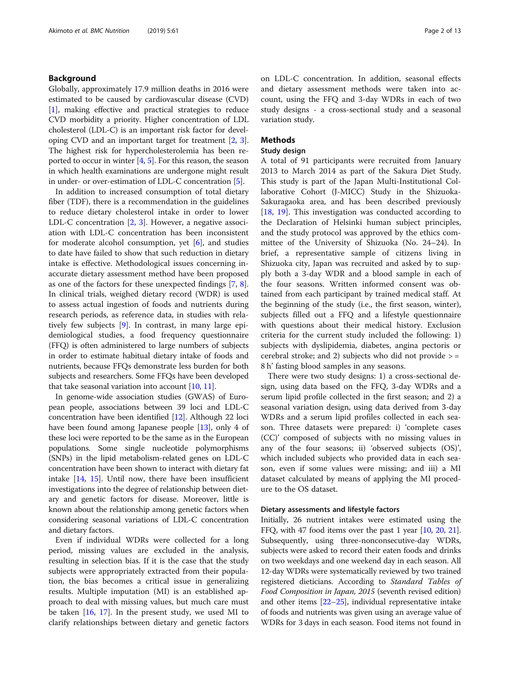#### Background

Globally, approximately 17.9 million deaths in 2016 were estimated to be caused by cardiovascular disease (CVD) [[1\]](#page-11-0), making effective and practical strategies to reduce CVD morbidity a priority. Higher concentration of LDL cholesterol (LDL-C) is an important risk factor for developing CVD and an important target for treatment [\[2,](#page-11-0) [3](#page-11-0)]. The highest risk for hypercholesterolemia has been reported to occur in winter  $[4, 5]$  $[4, 5]$  $[4, 5]$  $[4, 5]$  $[4, 5]$ . For this reason, the season in which health examinations are undergone might result in under- or over-estimation of LDL-C concentration [[5\]](#page-11-0).

In addition to increased consumption of total dietary fiber (TDF), there is a recommendation in the guidelines to reduce dietary cholesterol intake in order to lower LDL-C concentration [[2,](#page-11-0) [3](#page-11-0)]. However, a negative association with LDL-C concentration has been inconsistent for moderate alcohol consumption, yet  $[6]$  $[6]$  $[6]$ , and studies to date have failed to show that such reduction in dietary intake is effective. Methodological issues concerning inaccurate dietary assessment method have been proposed as one of the factors for these unexpected findings [\[7](#page-11-0), [8](#page-11-0)]. In clinical trials, weighed dietary record (WDR) is used to assess actual ingestion of foods and nutrients during research periods, as reference data, in studies with relatively few subjects [\[9](#page-11-0)]. In contrast, in many large epidemiological studies, a food frequency questionnaire (FFQ) is often administered to large numbers of subjects in order to estimate habitual dietary intake of foods and nutrients, because FFQs demonstrate less burden for both subjects and researchers. Some FFQs have been developed that take seasonal variation into account [\[10](#page-11-0), [11](#page-11-0)].

In genome-wide association studies (GWAS) of European people, associations between 39 loci and LDL-C concentration have been identified [[12](#page-11-0)]. Although 22 loci have been found among Japanese people [\[13](#page-11-0)], only 4 of these loci were reported to be the same as in the European populations. Some single nucleotide polymorphisms (SNPs) in the lipid metabolism-related genes on LDL-C concentration have been shown to interact with dietary fat intake [[14,](#page-11-0) [15](#page-11-0)]. Until now, there have been insufficient investigations into the degree of relationship between dietary and genetic factors for disease. Moreover, little is known about the relationship among genetic factors when considering seasonal variations of LDL-C concentration and dietary factors.

Even if individual WDRs were collected for a long period, missing values are excluded in the analysis, resulting in selection bias. If it is the case that the study subjects were appropriately extracted from their population, the bias becomes a critical issue in generalizing results. Multiple imputation (MI) is an established approach to deal with missing values, but much care must be taken  $[16, 17]$  $[16, 17]$  $[16, 17]$  $[16, 17]$ . In the present study, we used MI to clarify relationships between dietary and genetic factors on LDL-C concentration. In addition, seasonal effects and dietary assessment methods were taken into account, using the FFQ and 3-day WDRs in each of two study designs - a cross-sectional study and a seasonal variation study.

#### Methods

#### Study design

A total of 91 participants were recruited from January 2013 to March 2014 as part of the Sakura Diet Study. This study is part of the Japan Multi-Institutional Collaborative Cohort (J-MICC) Study in the Shizuoka-Sakuragaoka area, and has been described previously [[18,](#page-11-0) [19\]](#page-11-0). This investigation was conducted according to the Declaration of Helsinki human subject principles, and the study protocol was approved by the ethics committee of the University of Shizuoka (No. 24–24). In brief, a representative sample of citizens living in Shizuoka city, Japan was recruited and asked by to supply both a 3-day WDR and a blood sample in each of the four seasons. Written informed consent was obtained from each participant by trained medical staff. At the beginning of the study (i.e., the first season, winter), subjects filled out a FFQ and a lifestyle questionnaire with questions about their medical history. Exclusion criteria for the current study included the following: 1) subjects with dyslipidemia, diabetes, angina pectoris or cerebral stroke; and 2) subjects who did not provide  $>$  = 8 h' fasting blood samples in any seasons.

There were two study designs: 1) a cross-sectional design, using data based on the FFQ, 3-day WDRs and a serum lipid profile collected in the first season; and 2) a seasonal variation design, using data derived from 3-day WDRs and a serum lipid profiles collected in each season. Three datasets were prepared: i) 'complete cases (CC)' composed of subjects with no missing values in any of the four seasons; ii) 'observed subjects (OS)', which included subjects who provided data in each season, even if some values were missing; and iii) a MI dataset calculated by means of applying the MI procedure to the OS dataset.

#### Dietary assessments and lifestyle factors

Initially, 26 nutrient intakes were estimated using the FFQ, with 47 food items over the past 1 year [[10,](#page-11-0) [20](#page-11-0), [21](#page-11-0)]. Subsequently, using three-nonconsecutive-day WDRs, subjects were asked to record their eaten foods and drinks on two weekdays and one weekend day in each season. All 12-day WDRs were systematically reviewed by two trained registered dieticians. According to Standard Tables of Food Composition in Japan, 2015 (seventh revised edition) and other items [\[22](#page-11-0)–[25](#page-11-0)], individual representative intake of foods and nutrients was given using an average value of WDRs for 3 days in each season. Food items not found in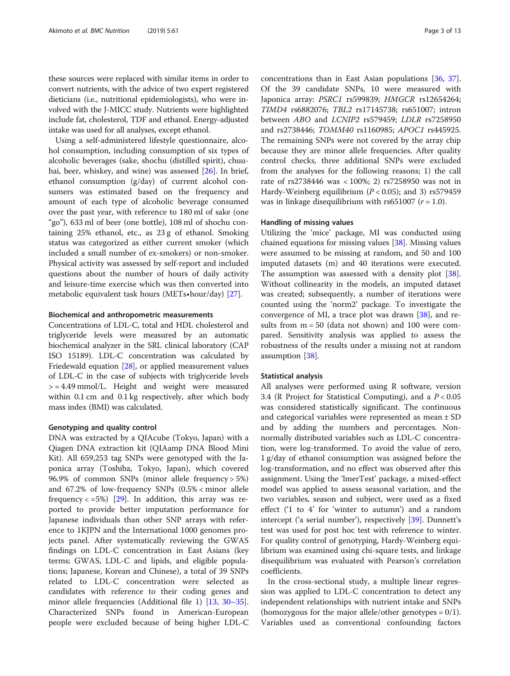these sources were replaced with similar items in order to convert nutrients, with the advice of two expert registered dieticians (i.e., nutritional epidemiologists), who were involved with the J-MICC study. Nutrients were highlighted include fat, cholesterol, TDF and ethanol. Energy-adjusted intake was used for all analyses, except ethanol.

Using a self-administered lifestyle questionnaire, alcohol consumption, including consumption of six types of alcoholic beverages (sake, shochu (distilled spirit), chuuhai, beer, whiskey, and wine) was assessed [[26\]](#page-11-0). In brief, ethanol consumption (g/day) of current alcohol consumers was estimated based on the frequency and amount of each type of alcoholic beverage consumed over the past year, with reference to 180 ml of sake (one "go"), 633 ml of beer (one bottle), 108 ml of shochu containing 25% ethanol, etc., as 23 g of ethanol. Smoking status was categorized as either current smoker (which included a small number of ex-smokers) or non-smoker. Physical activity was assessed by self-report and included questions about the number of hours of daily activity and leisure-time exercise which was then converted into metabolic equivalent task hours (METs•hour/day) [\[27\]](#page-11-0).

#### Biochemical and anthropometric measurements

Concentrations of LDL-C, total and HDL cholesterol and triglyceride levels were measured by an automatic biochemical analyzer in the SRL clinical laboratory (CAP ISO 15189). LDL-C concentration was calculated by Friedewald equation [\[28\]](#page-11-0), or applied measurement values of LDL-C in the case of subjects with triglyceride levels > = 4.49 mmol/L. Height and weight were measured within 0.1 cm and 0.1 kg respectively, after which body mass index (BMI) was calculated.

#### Genotyping and quality control

DNA was extracted by a QIAcube (Tokyo, Japan) with a Qiagen DNA extraction kit (QIAamp DNA Blood Mini Kit). All 659,253 tag SNPs were genotyped with the Japonica array (Toshiba, Tokyo, Japan), which covered 96.9% of common SNPs (minor allele frequency > 5%) and 67.2% of low-frequency SNPs (0.5% < minor allele frequency  $\langle 5\% \rangle$  [\[29](#page-11-0)]. In addition, this array was reported to provide better imputation performance for Japanese individuals than other SNP arrays with reference to 1KJPN and the International 1000 genomes projects panel. After systematically reviewing the GWAS findings on LDL-C concentration in East Asians (key terms; GWAS, LDL-C and lipids, and eligible populations; Japanese, Korean and Chinese), a total of 39 SNPs related to LDL-C concentration were selected as candidates with reference to their coding genes and minor allele frequencies (Additional file [1](#page-10-0)) [[13](#page-11-0), [30](#page-11-0)–[35](#page-11-0)]. Characterized SNPs found in American-European people were excluded because of being higher LDL-C concentrations than in East Asian populations [\[36](#page-11-0), [37](#page-11-0)]. Of the 39 candidate SNPs, 10 were measured with Japonica array: PSRC1 rs599839; HMGCR rs12654264; TIMD4 rs6882076; TBL2 rs17145738; rs651007; intron between ABO and LCNIP2 rs579459; LDLR rs7258950 and rs2738446; TOMM40 rs1160985; APOC1 rs445925. The remaining SNPs were not covered by the array chip because they are minor allele frequencies. After quality control checks, three additional SNPs were excluded from the analyses for the following reasons; 1) the call rate of rs2738446 was < 100%; 2) rs7258950 was not in Hardy-Weinberg equilibrium ( $P < 0.05$ ); and 3) rs579459 was in linkage disequilibrium with rs651007 ( $r = 1.0$ ).

#### Handling of missing values

Utilizing the 'mice' package, MI was conducted using chained equations for missing values [[38\]](#page-11-0). Missing values were assumed to be missing at random, and 50 and 100 imputed datasets (m) and 40 iterations were executed. The assumption was assessed with a density plot [\[38](#page-11-0)]. Without collinearity in the models, an imputed dataset was created; subsequently, a number of iterations were counted using the 'norm2' package. To investigate the convergence of MI, a trace plot was drawn [[38\]](#page-11-0), and results from  $m = 50$  (data not shown) and 100 were compared. Sensitivity analysis was applied to assess the robustness of the results under a missing not at random assumption [[38\]](#page-11-0).

#### Statistical analysis

All analyses were performed using R software, version 3.4 (R Project for Statistical Computing), and a  $P < 0.05$ was considered statistically significant. The continuous and categorical variables were represented as mean ± SD and by adding the numbers and percentages. Nonnormally distributed variables such as LDL-C concentration, were log-transformed. To avoid the value of zero, 1 g/day of ethanol consumption was assigned before the log-transformation, and no effect was observed after this assignment. Using the 'lmerTest' package, a mixed-effect model was applied to assess seasonal variation, and the two variables, season and subject, were used as a fixed effect ('1 to 4' for 'winter to autumn') and a random intercept ('a serial number'), respectively [\[39\]](#page-11-0). Dunnett's test was used for post hoc test with reference to winter. For quality control of genotyping, Hardy-Weinberg equilibrium was examined using chi-square tests, and linkage disequilibrium was evaluated with Pearson's correlation coefficients.

In the cross-sectional study, a multiple linear regression was applied to LDL-C concentration to detect any independent relationships with nutrient intake and SNPs (homozygous for the major allele/other genotypes  $= 0/1$ ). Variables used as conventional confounding factors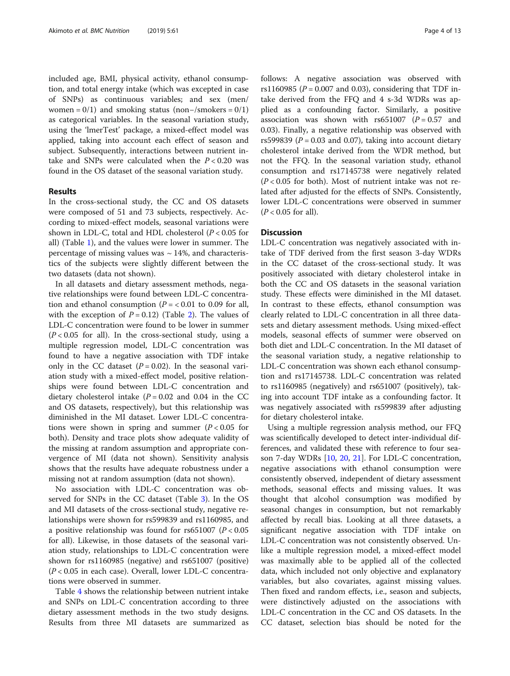included age, BMI, physical activity, ethanol consumption, and total energy intake (which was excepted in case of SNPs) as continuous variables; and sex (men/ women =  $0/1$ ) and smoking status (non–/smokers =  $0/1$ ) as categorical variables. In the seasonal variation study, using the 'lmerTest' package, a mixed-effect model was applied, taking into account each effect of season and subject. Subsequently, interactions between nutrient intake and SNPs were calculated when the  $P < 0.20$  was found in the OS dataset of the seasonal variation study.

#### Results

In the cross-sectional study, the CC and OS datasets were composed of 51 and 73 subjects, respectively. According to mixed-effect models, seasonal variations were shown in LDL-C, total and HDL cholesterol  $(P < 0.05$  for all) (Table [1](#page-4-0)), and the values were lower in summer. The percentage of missing values was  $\sim$  14%, and characteristics of the subjects were slightly different between the two datasets (data not shown).

In all datasets and dietary assessment methods, negative relationships were found between LDL-C concentration and ethanol consumption ( $P = < 0.01$  to 0.09 for all, with the exception of  $P = 0.12$  $P = 0.12$ ) (Table 2). The values of LDL-C concentration were found to be lower in summer  $(P < 0.05$  for all). In the cross-sectional study, using a multiple regression model, LDL-C concentration was found to have a negative association with TDF intake only in the CC dataset  $(P = 0.02)$ . In the seasonal variation study with a mixed-effect model, positive relationships were found between LDL-C concentration and dietary cholesterol intake  $(P = 0.02$  and 0.04 in the CC and OS datasets, respectively), but this relationship was diminished in the MI dataset. Lower LDL-C concentrations were shown in spring and summer  $(P < 0.05$  for both). Density and trace plots show adequate validity of the missing at random assumption and appropriate convergence of MI (data not shown). Sensitivity analysis shows that the results have adequate robustness under a missing not at random assumption (data not shown).

No association with LDL-C concentration was observed for SNPs in the CC dataset (Table [3\)](#page-6-0). In the OS and MI datasets of the cross-sectional study, negative relationships were shown for rs599839 and rs1160985, and a positive relationship was found for  $rs651007$  ( $P < 0.05$ ) for all). Likewise, in those datasets of the seasonal variation study, relationships to LDL-C concentration were shown for rs1160985 (negative) and rs651007 (positive)  $(P<0.05$  in each case). Overall, lower LDL-C concentrations were observed in summer.

Table [4](#page-8-0) shows the relationship between nutrient intake and SNPs on LDL-C concentration according to three dietary assessment methods in the two study designs. Results from three MI datasets are summarized as follows: A negative association was observed with rs1160985 ( $P = 0.007$  and 0.03), considering that TDF intake derived from the FFQ and 4 s-3d WDRs was applied as a confounding factor. Similarly, a positive association was shown with  $rs651007$  ( $P = 0.57$  and 0.03). Finally, a negative relationship was observed with rs599839 ( $P = 0.03$  and 0.07), taking into account dietary cholesterol intake derived from the WDR method, but not the FFQ. In the seasonal variation study, ethanol consumption and rs17145738 were negatively related  $(P < 0.05$  for both). Most of nutrient intake was not related after adjusted for the effects of SNPs. Consistently, lower LDL-C concentrations were observed in summer  $(P < 0.05$  for all).

#### **Discussion**

LDL-C concentration was negatively associated with intake of TDF derived from the first season 3-day WDRs in the CC dataset of the cross-sectional study. It was positively associated with dietary cholesterol intake in both the CC and OS datasets in the seasonal variation study. These effects were diminished in the MI dataset. In contrast to these effects, ethanol consumption was clearly related to LDL-C concentration in all three datasets and dietary assessment methods. Using mixed-effect models, seasonal effects of summer were observed on both diet and LDL-C concentration. In the MI dataset of the seasonal variation study, a negative relationship to LDL-C concentration was shown each ethanol consumption and rs17145738. LDL-C concentration was related to rs1160985 (negatively) and rs651007 (positively), taking into account TDF intake as a confounding factor. It was negatively associated with rs599839 after adjusting for dietary cholesterol intake.

Using a multiple regression analysis method, our FFQ was scientifically developed to detect inter-individual differences, and validated these with reference to four season 7-day WDRs [[10](#page-11-0), [20,](#page-11-0) [21](#page-11-0)]. For LDL-C concentration, negative associations with ethanol consumption were consistently observed, independent of dietary assessment methods, seasonal effects and missing values. It was thought that alcohol consumption was modified by seasonal changes in consumption, but not remarkably affected by recall bias. Looking at all three datasets, a significant negative association with TDF intake on LDL-C concentration was not consistently observed. Unlike a multiple regression model, a mixed-effect model was maximally able to be applied all of the collected data, which included not only objective and explanatory variables, but also covariates, against missing values. Then fixed and random effects, i.e., season and subjects, were distinctively adjusted on the associations with LDL-C concentration in the CC and OS datasets. In the CC dataset, selection bias should be noted for the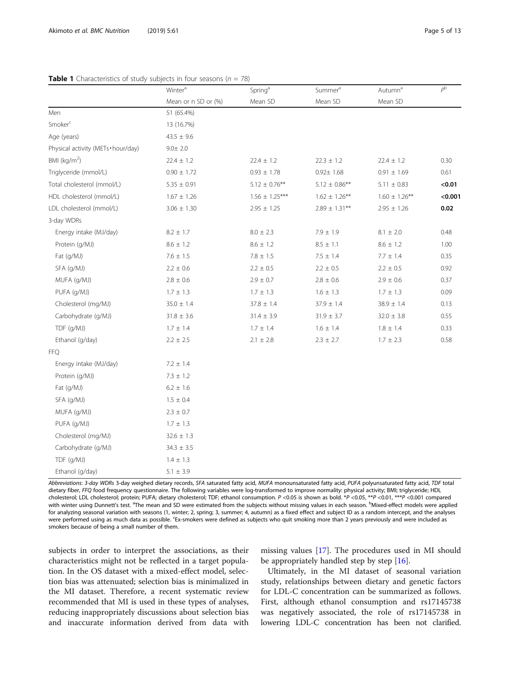<span id="page-4-0"></span>

|                                     | Winter <sup>a</sup> | Spring <sup>a</sup> | Summer <sup>a</sup> | Autumn <sup>a</sup> | $P^{\rm b}$ |
|-------------------------------------|---------------------|---------------------|---------------------|---------------------|-------------|
|                                     | Mean or n SD or (%) | Mean SD             | Mean SD             | Mean SD             |             |
| Men                                 | 51 (65.4%)          |                     |                     |                     |             |
| Smoker <sup>c</sup>                 | 13 (16.7%)          |                     |                     |                     |             |
| Age (years)                         | $43.5$ $\pm$ $9.6$  |                     |                     |                     |             |
| Physical activity (METs · hour/day) | $9.0 \pm 2.0$       |                     |                     |                     |             |
| BMI ( $kg/m2$ )                     | $22.4 \pm 1.2$      | $22.4 \pm 1.2$      | $22.3 \pm 1.2$      | $22.4 \pm 1.2$      | 0.30        |
| Triglyceride (mmol/L)               | $0.90 \pm 1.72$     | $0.93 \pm 1.78$     | $0.92 \pm 1.68$     | $0.91 \pm 1.69$     | 0.61        |
| Total cholesterol (mmol/L)          | $5.35 \pm 0.91$     | $5.12 \pm 0.76***$  | $5.12 \pm 0.86***$  | $5.11 \pm 0.83$     | < 0.01      |
| HDL cholesterol (mmol/L)            | $1.67 \pm 1.26$     | $1.56 \pm 1.25***$  | $1.62 \pm 1.26***$  | $1.60 \pm 1.26***$  | < 0.001     |
| LDL cholesterol (mmol/L)            | $3.06 \pm 1.30$     | $2.95 \pm 1.25$     | $2.89 \pm 1.31***$  | $2.95 \pm 1.26$     | 0.02        |
| 3-day WDRs                          |                     |                     |                     |                     |             |
| Energy intake (MJ/day)              | $8.2 \pm 1.7$       | $8.0 \pm 2.3$       | $7.9 \pm 1.9$       | $8.1\,\pm\,2.0$     | 0.48        |
| Protein (q/MJ)                      | $8.6\,\pm\,1.2$     | $8.6 \pm 1.2$       | $8.5\,\pm\,1.1$     | $8.6\,\pm\,1.2$     | 1.00        |
| Fat (g/MJ)                          | $7.6\,\pm\,1.5$     | $7.8\,\pm\,1.5$     | $7.5 \pm 1.4$       | $7.7\,\pm\,1.4$     | 0.35        |
| SFA (g/MJ)                          | $2.2 \pm 0.6$       | $2.2 \pm 0.5$       | $2.2 \pm 0.5$       | $2.2\pm0.5$         | 0.92        |
| MUFA (g/MJ)                         | $2.8 \pm 0.6$       | $2.9 \pm 0.7$       | $2.8 \pm 0.6$       | $2.9 \pm 0.6$       | 0.37        |
| PUFA (g/MJ)                         | $1.7 \pm 1.3$       | $1.7 \pm 1.3$       | $1.6 \pm 1.3$       | $1.7 \pm 1.3$       | 0.09        |
| Cholesterol (mg/MJ)                 | $35.0 \pm 1.4$      | $37.8 \pm 1.4$      | $37.9 \pm 1.4$      | $38.9 \pm 1.4$      | 0.13        |
| Carbohydrate (g/MJ)                 | $31.8 \pm 3.6$      | $31.4 \pm 3.9$      | $31.9 \pm 3.7$      | $32.0 \pm 3.8$      | 0.55        |
| TDF (g/MJ)                          | $1.7 \pm 1.4$       | $1.7 \pm 1.4$       | $1.6 \pm 1.4$       | $1.8 \pm 1.4$       | 0.33        |
| Ethanol (g/day)                     | $2.2 \pm 2.5$       | $2.1 \pm 2.8$       | $2.3 \pm 2.7$       | $1.7 \pm 2.3$       | 0.58        |
| <b>FFQ</b>                          |                     |                     |                     |                     |             |
| Energy intake (MJ/day)              | $7.2 \pm 1.4$       |                     |                     |                     |             |
| Protein (g/MJ)                      | $7.3 \pm 1.2$       |                     |                     |                     |             |
| Fat (g/MJ)                          | $6.2 \pm 1.6$       |                     |                     |                     |             |
| SFA (g/MJ)                          | $1.5 \pm 0.4$       |                     |                     |                     |             |
| MUFA (g/MJ)                         | $2.3\,\pm\,0.7$     |                     |                     |                     |             |
| PUFA (g/MJ)                         | $1.7 \pm 1.3$       |                     |                     |                     |             |
| Cholesterol (mg/MJ)                 | $32.6 \pm 1.3$      |                     |                     |                     |             |
| Carbohydrate (q/MJ)                 | $34.3 \pm 3.5$      |                     |                     |                     |             |
| TDF (g/MJ)                          | $1.4 \pm 1.3$       |                     |                     |                     |             |
| Ethanol (g/day)                     | $5.1 \pm 3.9$       |                     |                     |                     |             |

Abbreviations: 3-day WDRs 3-day weighed dietary records, SFA saturated fatty acid, MUFA monounsaturated fatty acid, PUFA polyunsaturated fatty acid, TDF total dietary fiber, FFQ food frequency questionnaire. The following variables were log-transformed to improve normality: physical activity; BMI; triglyceride; HDL cholesterol; LDL cholesterol; protein; PUFA; dietary cholesterol; TDF; ethanol consumption. P <0.05 is shown as bold. \*P <0.05, \*\*P <0.01, \*\*\*P <0.001 compared with winter using Dunnett's test. <sup>a</sup>The mean and SD were estimated from the subjects without missing values in each season. <sup>b</sup>Mixed-effect models were applied for analyzing seasonal variation with seasons (1, winter; 2, spring; 3, summer; 4, autumn) as a fixed effect and subject ID as a random intercept, and the analyses were performed using as much data as possible. <sup>c</sup>Ex-smokers were defined as subjects who quit smoking more than 2 years previously and were included as smokers because of being a small number of them.

subjects in order to interpret the associations, as their characteristics might not be reflected in a target population. In the OS dataset with a mixed-effect model, selection bias was attenuated; selection bias is minimalized in the MI dataset. Therefore, a recent systematic review recommended that MI is used in these types of analyses, reducing inappropriately discussions about selection bias and inaccurate information derived from data with

missing values [[17\]](#page-11-0). The procedures used in MI should be appropriately handled step by step [\[16](#page-11-0)].

Ultimately, in the MI dataset of seasonal variation study, relationships between dietary and genetic factors for LDL-C concentration can be summarized as follows. First, although ethanol consumption and rs17145738 was negatively associated, the role of rs17145738 in lowering LDL-C concentration has been not clarified.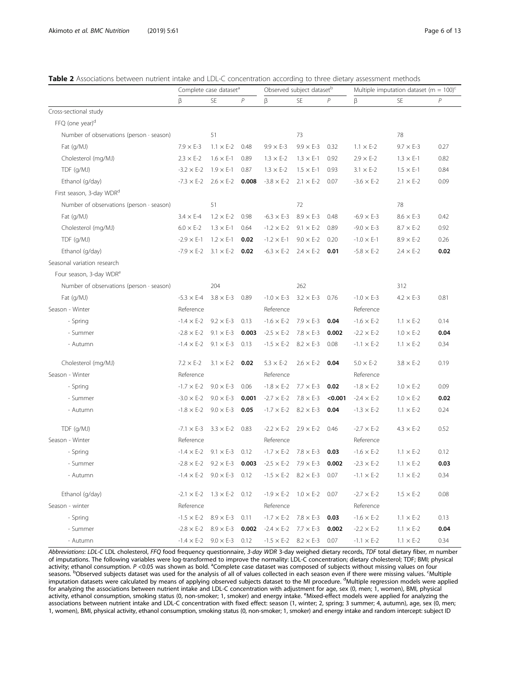#### <span id="page-5-0"></span>Table 2 Associations between nutrient intake and LDL-C concentration according to three dietary assessment methods

|                                                |                                        | Complete case dataset <sup>a</sup>          |                | Observed subject dataset <sup>b</sup><br>Multiple imputation dataset (m = $100$ ) <sup>c</sup> |                                        |         |                     |                    |              |  |
|------------------------------------------------|----------------------------------------|---------------------------------------------|----------------|------------------------------------------------------------------------------------------------|----------------------------------------|---------|---------------------|--------------------|--------------|--|
|                                                | β                                      | SE                                          | $\overline{P}$ | β                                                                                              | SE                                     | P       | β                   | <b>SE</b>          | $\mathcal P$ |  |
| Cross-sectional study                          |                                        |                                             |                |                                                                                                |                                        |         |                     |                    |              |  |
| FFQ (one year) <sup>d</sup>                    |                                        |                                             |                |                                                                                                |                                        |         |                     |                    |              |  |
| Number of observations (person $\cdot$ season) |                                        | 51                                          |                |                                                                                                | 73                                     |         |                     | 78                 |              |  |
| Fat (g/MJ)                                     | $7.9 \times E-3$                       | $1.1 \times E-2$                            | 0.48           | $9.9 \times E - 3$                                                                             | $9.9 \times E - 3$                     | 0.32    | $1.1 \times E-2$    | $9.7 \times E-3$   | 0.27         |  |
| Cholesterol (mg/MJ)                            | $2.3 \times E-2$                       | $1.6 \times E-1$                            | 0.89           | $1.3 \times E-2$                                                                               | $1.3 \times E-1$                       | 0.92    | $2.9 \times E-2$    | $1.3 \times E-1$   | 0.82         |  |
| TDF (q/MJ)                                     | $-3.2 \times E - 2$                    | $1.9 \times E-1$                            | 0.87           | $1.3 \times E-2$                                                                               | $1.5 \times E-1$                       | 0.93    | $3.1 \times E-2$    | $1.5 \times E-1$   | 0.84         |  |
| Ethanol (g/day)                                | $-7.3 \times E - 2$                    | $2.6 \times E - 2$                          | 0.008          | $-3.8 \times E - 2$                                                                            | $2.1 \times E - 2$                     | 0.07    | $-3.6 \times E - 2$ | $2.1 \times E - 2$ | 0.09         |  |
| First season, 3-day WDR <sup>d</sup>           |                                        |                                             |                |                                                                                                |                                        |         |                     |                    |              |  |
| Number of observations (person $\cdot$ season) |                                        | 51                                          |                |                                                                                                | 72                                     |         |                     | 78                 |              |  |
| Fat (g/MJ)                                     | $3.4 \times E - 4$                     | $1.2 \times E - 2$                          | 0.98           | $-6.3 \times E - 3$                                                                            | $8.9 \times E - 3$                     | 0.48    | $-6.9 \times E - 3$ | $8.6 \times E - 3$ | 0.42         |  |
| Cholesterol (mg/MJ)                            | $6.0 \times E-2$                       | $1.3 \times E-1$                            | 0.64           | $-1.2 \times E - 2$                                                                            | $9.1 \times E-2$                       | 0.89    | $-9.0 \times E - 3$ | $8.7 \times E-2$   | 0.92         |  |
| TDF (q/MJ)                                     | $-2.9 \times E - 1$                    | $1.2 \times E-1$                            | 0.02           | $-1.2 \times E-1$                                                                              | $9.0 \times E-2$                       | 0.20    | $-1.0 \times E - 1$ | $8.9 \times E-2$   | 0.26         |  |
| Ethanol (g/day)                                | $-7.9 \times E - 2$                    | $3.1 \times E-2$                            | 0.02           | $-6.3 \times E - 2$                                                                            | $2.4 \times E-2$                       | 0.01    | $-5.8 \times E - 2$ | $2.4 \times E - 2$ | 0.02         |  |
| Seasonal variation research                    |                                        |                                             |                |                                                                                                |                                        |         |                     |                    |              |  |
| Four season, 3-day WDR <sup>e</sup>            |                                        |                                             |                |                                                                                                |                                        |         |                     |                    |              |  |
| Number of observations (person · season)       |                                        | 204                                         |                |                                                                                                | 262                                    |         |                     | 312                |              |  |
| Fat (g/MJ)                                     | $-5.3 \times E - 4$                    | $3.8 \times E - 3$                          | 0.89           | $-1.0 \times E - 3$                                                                            | $3.2 \times E - 3$                     | 0.76    | $-1.0 \times E - 3$ | $4.2 \times E-3$   | 0.81         |  |
| Season - Winter                                | Reference                              |                                             |                | Reference                                                                                      |                                        |         | Reference           |                    |              |  |
| - Spring                                       | $-1.4 \times E - 2$                    | $9.2 \times E - 3$                          | 0.13           | $-1.6 \times E - 2$                                                                            | $7.9 \times F - 3$                     | 0.04    | $-1.6 \times E - 2$ | $1.1 \times E - 2$ | 0.14         |  |
| - Summer                                       | $-2.8 \times E - 2$                    | $9.1 \times E - 3$                          | 0.003          | $-2.5 \times E - 2$                                                                            | $7.8 \times E - 3$                     | 0.002   | $-2.2 \times E - 2$ | $1.0 \times E-2$   | 0.04         |  |
| - Autumn                                       |                                        | $-1.4 \times E - 2$ 9.1 $\times E - 3$      | 0.13           | $-1.5 \times E - 2$                                                                            | $8.2 \times E-3$                       | 0.08    | $-1.1 \times E - 2$ | $1.1 \times E - 2$ | 0.34         |  |
| Cholesterol (mg/MJ)                            | $7.2 \times E-2$                       | $3.1 \times E-2$                            | 0.02           | $5.3 \times E-2$                                                                               | $2.6 \times E-2$                       | 0.04    | $5.0 \times E-2$    | $3.8 \times E-2$   | 0.19         |  |
| Season - Winter                                | Reference                              |                                             |                | Reference                                                                                      |                                        |         | Reference           |                    |              |  |
| - Spring                                       | $-1.7 \times E - 2$                    | $9.0 \times E - 3$                          | 0.06           | $-1.8 \times E - 2$                                                                            | $7.7 \times E-3$                       | 0.02    | $-1.8 \times E - 2$ | $1.0 \times E-2$   | 0.09         |  |
| - Summer                                       | $-3.0 \times E - 2$                    | $9.0 \times E - 3$                          | 0.001          | $-2.7 \times E - 2$                                                                            | $7.8 \times E-3$                       | < 0.001 | $-2.4 \times E - 2$ | $1.0 \times E-2$   | 0.02         |  |
| - Autumn                                       | $-1.8 \times E - 2$                    | $9.0 \times E - 3$                          | 0.05           | $-1.7 \times E - 2$                                                                            | $8.2 \times E - 3$                     | 0.04    | $-1.3 \times E - 2$ | $1.1 \times E - 2$ | 0.24         |  |
| TDF (g/MJ)                                     | $-7.1 \times E - 3$                    | $3.3 \times E-2$                            | 0.83           | $-2.2 \times E - 2$                                                                            | $2.9 \times E-2$                       | 0.46    | $-2.7 \times E - 2$ | $4.3 \times E-2$   | 0.52         |  |
| Season - Winter                                | Reference                              |                                             |                | Reference                                                                                      |                                        |         | Reference           |                    |              |  |
| - Spring                                       | $-1.4 \times E - 2$                    | $9.1 \times E - 3$                          | 0.12           | $-1.7 \times E - 2$                                                                            | $7.8 \times E - 3$                     | 0.03    | $-1.6 \times E - 2$ | $1.1 \times E - 2$ | 0.12         |  |
| - Summer                                       | $-2.8 \times E - 2$                    | $9.2 \times E - 3$                          | 0.003          | $-2.5 \times E - 2$                                                                            | $7.9 \times E-3$                       | 0.002   | $-2.3 \times E - 2$ | $1.1 \times E - 2$ | 0.03         |  |
| - Autumn                                       |                                        | $-1.4 \times E - 2$ $9.0 \times E - 3$ 0.12 |                |                                                                                                | $-1.5 \times E - 2$ 8.2 $\times E - 3$ | 0.07    | $-1.1 \times E - 2$ | $1.1 \times E - 2$ | 0.34         |  |
| Ethanol (g/day)                                |                                        | $-2.1 \times E - 2$ 1.3 $\times E - 2$ 0.12 |                | $-1.9 \times E - 2$                                                                            | $1.0 \times E - 2$                     | 0.07    | $-2.7 \times E - 2$ | $1.5 \times E-2$   | 0.08         |  |
| Season - winter                                | Reference                              |                                             |                | Reference                                                                                      |                                        |         | Reference           |                    |              |  |
| - Spring                                       | $-1.5 \times E - 2$ 8.9 $\times E - 3$ |                                             | 0.11           | $-1.7 \times E - 2$                                                                            | $7.8 \times E - 3$                     | 0.03    | $-1.6 \times E - 2$ | $1.1 \times E - 2$ | 0.13         |  |
| - Summer                                       |                                        | $-2.8 \times E - 2$ $8.9 \times E - 3$      | 0.002          | $-2.4 \times E - 2$                                                                            | 7.7 $\times$ E-3                       | 0.002   | $-2.2 \times E - 2$ | $1.1 \times E - 2$ | 0.04         |  |
| - Autumn                                       |                                        | $-1.4 \times E - 2$ $9.0 \times E - 3$ 0.12 |                |                                                                                                | $-1.5 \times E - 2$ 8.2 $\times E - 3$ | 0.07    | $-1.1 \times E - 2$ | $1.1 \times E - 2$ | 0.34         |  |

Abbreviations: LDL-C LDL cholesterol, FFQ food frequency questionnaire, 3-day WDR 3-day weighed dietary records, TDF total dietary fiber, m number of imputations. The following variables were log-transformed to improve the normality: LDL-C concentration; dietary cholesterol; TDF; BMI; physical activity; ethanol consumption. P <0.05 was shown as bold. <sup>a</sup>Complete case dataset was composed of subjects without missing values on four seasons. <sup>b</sup>Observed subjects dataset was used for the analysis of all of values collected in each season even if there were missing values. <sup>c</sup>Multiple imputation datasets were calculated by means of applying observed subjects dataset to the MI procedure. <sup>d</sup>Multiple regression models were applied for analyzing the associations between nutrient intake and LDL-C concentration with adjustment for age, sex (0, men; 1, women), BMI, physical activity, ethanol consumption, smoking status (0, non-smoker; 1, smoker) and energy intake. <sup>e</sup> Mixed-effect models were applied for analyzing the associations between nutrient intake and LDL-C concentration with fixed effect: season (1, winter; 2, spring; 3 summer; 4, autumn), age, sex (0, men; 1, women), BMI, physical activity, ethanol consumption, smoking status (0, non-smoker; 1, smoker) and energy intake and random intercept: subject ID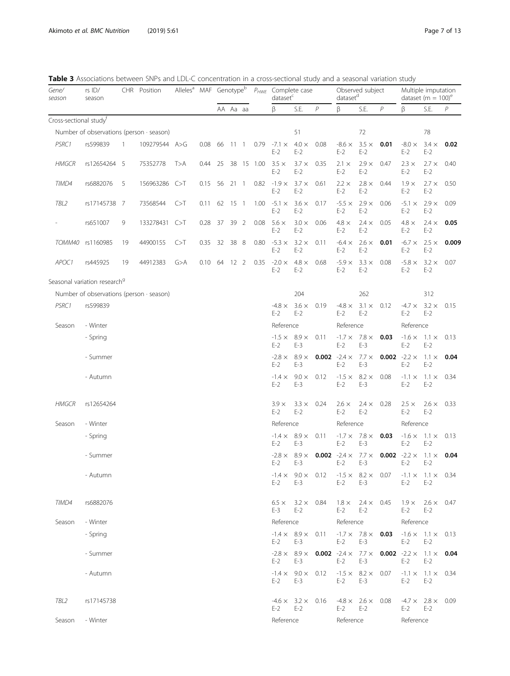<span id="page-6-0"></span>Table 3 Associations between SNPs and LDL-C concentration in a cross-sectional study and a seasonal variation study

| Gene/<br>season                    | rs ID/<br>season                         |                | CHR Position  | Alleles <sup>a</sup> MAF Genotype <sup>b</sup> |                      |         |          |    |                    | $P_{HWE}$ Complete case<br>dataset <sup>c</sup> |                                        |      | dataset <sup>d</sup>                                                                             | Observed subject                       |                |                                                | Multiple imputation<br>dataset (m = $100$ ) <sup>e</sup> |                |
|------------------------------------|------------------------------------------|----------------|---------------|------------------------------------------------|----------------------|---------|----------|----|--------------------|-------------------------------------------------|----------------------------------------|------|--------------------------------------------------------------------------------------------------|----------------------------------------|----------------|------------------------------------------------|----------------------------------------------------------|----------------|
|                                    |                                          |                |               |                                                |                      |         | AA Aa aa |    |                    | β                                               | S.E.                                   | P    | β                                                                                                | S.E.                                   | $\overline{P}$ | β                                              | S.E.                                                     | $\overline{P}$ |
| Cross-sectional study <sup>t</sup> |                                          |                |               |                                                |                      |         |          |    |                    |                                                 |                                        |      |                                                                                                  |                                        |                |                                                |                                                          |                |
|                                    | Number of observations (person · season) |                |               |                                                |                      |         |          |    |                    |                                                 | 51                                     |      |                                                                                                  | 72                                     |                |                                                | 78                                                       |                |
| PSRC1                              | rs599839                                 | $\overline{1}$ | 109279544 A>G |                                                | 0.08 66 11 1         |         |          |    | 0.79               | $-7.1 \times$<br>$E-2$                          | $4.0 \times$<br>$E-2$                  | 0.08 | $-8.6 \times$<br>$E-2$                                                                           | $3.5 \times 0.01$<br>$E-2$             |                | $-8.0 \times$<br>$E-2$                         | $3.4 \times$<br>$E-2$                                    | 0.02           |
| HMGCR                              | rs12654264 5                             |                | 75352778      | T>A                                            |                      |         |          |    | 0.44 25 38 15 1.00 | $3.5 \times$<br>$E-2$                           | $3.7 \times$<br>$E-2$                  | 0.35 | $2.1 \times$<br>$E-2$                                                                            | $2.9 \times 0.47$<br>$E-2$             |                | $2.3 \times$<br>$E-2$                          | $2.7 \times$<br>$E-2$                                    | 0.40           |
| TIMD4                              | rs6882076                                | 5              | 156963286     | C > T                                          | 0.15                 | 56 21 1 |          |    | 0.82               | $-1.9 \times$<br>$E-2$                          | $3.7 \times$<br>$E-2$                  | 0.61 | $2.2 \times$<br>$E-2$                                                                            | $2.8 \times$<br>$E-2$                  | 0.44           | $1.9 \times$<br>$E-2$                          | $2.7 \times$<br>$E-2$                                    | 0.50           |
| TBL2                               | rs17145738 7                             |                | 73568544      | C > T                                          | 0.11                 | 62 15 1 |          |    | 1.00               | $-5.1 \times$<br>$E-2$                          | $3.6 \times$<br>$E-2$                  | 0.17 | $-5.5 \times$<br>$E-2$                                                                           | $2.9 \times$<br>$E-2$                  | 0.06           | $E-2$                                          | $-5.1 \times 2.9 \times$<br>$E-2$                        | 0.09           |
|                                    | rs651007                                 | 9              | 133278431     | C > T                                          | 0.28                 | 37      | 39       | -2 | 0.08               | $5.6 \times$<br>$E-2$                           | $3.0 \times$<br>$E-2$                  | 0.06 | $4.8 \times$<br>$E-2$                                                                            | $2.4 \times$<br>$E-2$                  | 0.05           | $4.8 \times$<br>$E-2$                          | $2.4 \times$<br>$E-2$                                    | 0.05           |
| TOMM40                             | rs1160985                                | 19             | 44900155      | C > T                                          | 0.35                 | 32      | 38 8     |    | 0.80               | $-5.3 \times$<br>$E-2$                          | $3.2 \times$<br>$E-2$                  | 0.11 | $-6.4 \times$<br>$E-2$                                                                           | $2.6 \times$<br>$E-2$                  | 0.01           | $E-2$                                          | $-6.7 \times 2.5 \times$<br>$E-2$                        | 0.009          |
| APOC1                              | rs445925                                 | 19             | 44912383      | G>A                                            | $0.10 \t64 \t12 \t2$ |         |          |    | 0.35               | $-2.0 \times 4.8 \times$<br>$E-2$               | $E-2$                                  | 0.68 | $E-2$                                                                                            | $-5.9 \times 3.3 \times 0.08$<br>$E-2$ |                | $E-2$                                          | $-5.8 \times 3.2 \times$<br>$E-2$                        | 0.07           |
|                                    | Seasonal variation research <sup>9</sup> |                |               |                                                |                      |         |          |    |                    |                                                 |                                        |      |                                                                                                  |                                        |                |                                                |                                                          |                |
|                                    | Number of observations (person · season) |                |               |                                                |                      |         |          |    |                    |                                                 | 204                                    |      |                                                                                                  | 262                                    |                |                                                | 312                                                      |                |
| PSRC1                              | rs599839                                 |                |               |                                                |                      |         |          |    |                    | $-4.8 \times$<br>$E-2$                          | $3.6 \times$<br>$E-2$                  | 0.19 | $-4.8 \times$<br>$E-2$                                                                           | $3.1 \times$<br>$E-2$                  | 0.12           | $E-2$                                          | $-4.7 \times 3.2 \times$<br>$E-2$                        | 0.15           |
| Season                             | - Winter                                 |                |               |                                                |                      |         |          |    |                    | Reference                                       |                                        |      | Reference                                                                                        |                                        |                | Reference                                      |                                                          |                |
|                                    | - Spring                                 |                |               |                                                |                      |         |          |    |                    | $E-2$                                           | $-1.5 \times 8.9 \times$<br>$E-3$      | 0.11 | $E-2$                                                                                            | $-1.7 \times 7.8 \times 0.03$<br>$E-3$ |                | $E-2$                                          | $-1.6 \times 1.1 \times 0.13$<br>$E-2$                   |                |
|                                    | - Summer                                 |                |               |                                                |                      |         |          |    |                    | $-2.8 \times$<br>$E-2$                          | $8.9 \times$<br>$E-3$                  |      | <b>0.002</b> $-2.4 \times$<br>$E-2$                                                              | $7.7 \times$<br>$E-3$                  |                | <b>0.002</b> $-2.2 \times 1.1 \times$<br>$E-2$ | $E-2$                                                    | 0.04           |
|                                    | - Autumn                                 |                |               |                                                |                      |         |          |    |                    | $-1.4 \times$<br>$E-2$                          | $9.0 \times$<br>$E-3$                  | 0.12 | $E-2$                                                                                            | $-1.5 \times 8.2 \times$<br>$E-3$      | 0.08           | $E-2$                                          | $-1.1 \times 1.1 \times$<br>$E-2$                        | 0.34           |
| <b>HMGCR</b>                       | rs12654264                               |                |               |                                                |                      |         |          |    |                    | $3.9 \times$<br>$E-2$                           | $3.3 \times$<br>$E-2$                  | 0.24 | $2.6 \times$<br>$E-2$                                                                            | $2.4 \times 0.28$<br>$E-2$             |                | $2.5 \times$<br>$E-2$                          | $2.6 \times 0.33$<br>$E-2$                               |                |
| Season                             | - Winter                                 |                |               |                                                |                      |         |          |    |                    | Reference                                       |                                        |      | Reference                                                                                        |                                        |                | Reference                                      |                                                          |                |
|                                    | - Spring                                 |                |               |                                                |                      |         |          |    |                    | $E-2$                                           | $-1.4 \times 8.9 \times$<br>$E-3$      | 0.11 | $E-2$                                                                                            | $-1.7 \times 7.8 \times 0.03$<br>$E-3$ |                | $E-2$                                          | $-1.6 \times 1.1 \times 0.13$<br>$E-2$                   |                |
|                                    | - Summer                                 |                |               |                                                |                      |         |          |    |                    | $-2.8 \times$<br>$E-2$                          | $8.9 \times$<br>$E-3$                  |      | <b>0.002</b> $-2.4 \times 7.7 \times$ <b>0.002</b> $-2.2 \times 1.1 \times$ <b>0.04</b><br>$E-2$ | $E-3$                                  |                | $E-2$                                          | $E-2$                                                    |                |
|                                    | - Autumn                                 |                |               |                                                |                      |         |          |    |                    | $E-2$                                           | $-1.4 \times 9.0 \times 0.12$<br>$E-3$ |      | $-1.5 \times 8.2 \times 0.07$<br>$E-2$                                                           | $E-3$                                  |                | $E-2$                                          | $-1.1 \times 1.1 \times 0.34$<br>$E-2$                   |                |
| TIMD4                              | rs6882076                                |                |               |                                                |                      |         |          |    |                    | $E-3$                                           | $6.5 \times 3.2 \times 0.84$<br>$E-2$  |      | $E-2$                                                                                            | $1.8 \times 2.4 \times 0.45$<br>$E-2$  |                | $E-2$                                          | $1.9 \times 2.6 \times 0.47$<br>$E-2$                    |                |
| Season                             | - Winter                                 |                |               |                                                |                      |         |          |    |                    | Reference                                       |                                        |      | Reference                                                                                        |                                        |                | Reference                                      |                                                          |                |
|                                    | - Spring                                 |                |               |                                                |                      |         |          |    |                    | $E-2$                                           | $-1.4 \times 8.9 \times 0.11$<br>$E-3$ |      | $E-2$                                                                                            | $-1.7 \times 7.8 \times 0.03$<br>$E-3$ |                | $E-2$                                          | $-1.6 \times 1.1 \times 0.13$<br>$E-2$                   |                |
|                                    | - Summer                                 |                |               |                                                |                      |         |          |    |                    | $E-2$                                           | $E-3$                                  |      | $-2.8 \times 8.9 \times 0.002 -2.4 \times 7.7 \times 0.002 -2.2 \times 1.1 \times 0.04$<br>$E-2$ | $E-3$                                  |                | $E-2$                                          | $E-2$                                                    |                |
|                                    | - Autumn                                 |                |               |                                                |                      |         |          |    |                    | $E-2$                                           | $-1.4 \times 9.0 \times 0.12$<br>$E-3$ |      | $E-2$                                                                                            | $-1.5 \times 8.2 \times 0.07$<br>$E-3$ |                | $E-2$                                          | $-1.1 \times 1.1 \times 0.34$<br>$E-2$                   |                |
| TBL2                               | rs17145738                               |                |               |                                                |                      |         |          |    |                    | $E-2$                                           | $-4.6 \times 3.2 \times 0.16$<br>$E-2$ |      | $E-2$                                                                                            | $-4.8 \times 2.6 \times 0.08$<br>$E-2$ |                | $E-2$                                          | $-4.7 \times 2.8 \times 0.09$<br>$E-2$                   |                |
| Season                             | - Winter                                 |                |               |                                                |                      |         |          |    |                    | Reference                                       |                                        |      | Reference                                                                                        |                                        |                | Reference                                      |                                                          |                |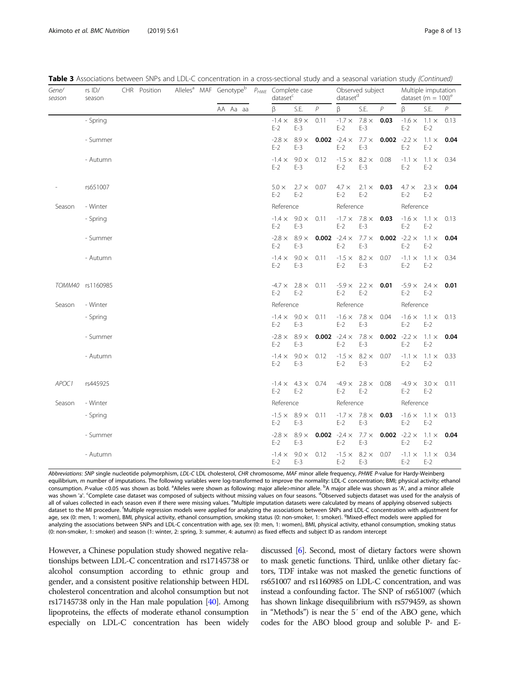| Gene/<br>season | rs ID/<br>season | Alleles <sup>a</sup> MAF Genotype <sup>b</sup><br>CHR Position |  |  |  | $P_{HWE}$ Complete case<br>dataset <sup>c</sup> |  |                        | Observed subject<br>dataset <sup>d</sup> |      |                       | Multiple imputation<br>dataset (m = $100$ ) <sup>e</sup> |                                                                                         |                       |                                        |                |
|-----------------|------------------|----------------------------------------------------------------|--|--|--|-------------------------------------------------|--|------------------------|------------------------------------------|------|-----------------------|----------------------------------------------------------|-----------------------------------------------------------------------------------------|-----------------------|----------------------------------------|----------------|
|                 |                  |                                                                |  |  |  | AA Aa aa                                        |  | β                      | S.E.                                     | P    | β                     | S.E.                                                     | $\overline{P}$                                                                          | β                     | S.E.                                   | $\overline{P}$ |
|                 | - Spring         |                                                                |  |  |  |                                                 |  | $E-2$                  | $-1.4 \times 8.9 \times 0.11$<br>$E-3$   |      | $E-2$                 | $-1.7 \times 7.8 \times 0.03$<br>$E-3$                   |                                                                                         | $E-2$                 | $-1.6 \times 1.1 \times 0.13$<br>$E-2$ |                |
|                 | - Summer         |                                                                |  |  |  |                                                 |  | $-2.8 \times$<br>$E-2$ | $8.9 \times$<br>$E-3$                    |      | $E-2$                 | $E-3$                                                    | <b>0.002</b> $-2.4 \times 7.7 \times$ <b>0.002</b> $-2.2 \times 1.1 \times$ <b>0.04</b> | $E-2$                 | $E-2$                                  |                |
|                 | - Autumn         |                                                                |  |  |  |                                                 |  | $-1.4 \times$<br>$E-2$ | $9.0 \times 0.12$<br>$E-3$               |      | $E-2$                 | $-1.5 \times 8.2 \times 0.08$<br>$E-3$                   |                                                                                         | $E-2$                 | $-1.1 \times 1.1 \times 0.34$<br>$E-2$ |                |
|                 | rs651007         |                                                                |  |  |  |                                                 |  | $5.0 \times$<br>$F-2$  | $2.7 \times 0.07$<br>$E-2$               |      | $4.7 \times$<br>$E-2$ | $2.1 \times 0.03$<br>$E-2$                               |                                                                                         | $4.7 \times$<br>$E-2$ | $2.3 \times 0.04$<br>$E-2$             |                |
| Season          | - Winter         |                                                                |  |  |  |                                                 |  | Reference              |                                          |      | Reference             |                                                          |                                                                                         | Reference             |                                        |                |
|                 | - Spring         |                                                                |  |  |  |                                                 |  | $-1.4 \times$<br>$E-2$ | $9.0 \times$<br>$E-3$                    | 0.11 | $E-2$                 | $-1.7 \times 7.8 \times 0.03$<br>$E-3$                   |                                                                                         | $E-2$                 | $-1.6 \times 1.1 \times 0.13$<br>$E-2$ |                |
|                 | - Summer         |                                                                |  |  |  |                                                 |  | $-2.8 \times$<br>$E-2$ | $8.9 \times$<br>$E-3$                    |      | $E-2$                 | $E-3$                                                    | <b>0.002</b> $-2.4 \times 7.7 \times$ <b>0.002</b> $-2.2 \times 1.1 \times$ <b>0.04</b> | $E-2$                 | $E-2$                                  |                |
|                 | - Autumn         |                                                                |  |  |  |                                                 |  | $-1.4 \times$<br>$E-2$ | $9.0 \times$<br>$E-3$                    | 0.11 | $E-2$                 | $-1.5 \times 8.2 \times$<br>$E-3$                        | 0.07                                                                                    | $E-2$                 | $-1.1 \times 1.1 \times 0.34$<br>$E-2$ |                |
|                 | TOMM40 rs1160985 |                                                                |  |  |  |                                                 |  | $E-2$                  | $-4.7 \times 2.8 \times 0.11$<br>$E-2$   |      | $E-2$                 | $-5.9 \times 2.2 \times 0.01$<br>$E-2$                   |                                                                                         | $E-2$                 | $-5.9 \times 2.4 \times 0.01$<br>$E-2$ |                |
| Season          | - Winter         |                                                                |  |  |  |                                                 |  | Reference              |                                          |      | Reference             |                                                          |                                                                                         | Reference             |                                        |                |
|                 | - Spring         |                                                                |  |  |  |                                                 |  | $E-2$                  | $-1.4 \times 9.0 \times$<br>$E-3$        | 0.11 | $E-2$                 | $-1.6 \times 7.8 \times 0.04$<br>$E-3$                   |                                                                                         | $E-2$                 | $-1.6 \times 1.1 \times 0.13$<br>$E-2$ |                |
|                 | - Summer         |                                                                |  |  |  |                                                 |  | $-2.8 \times$<br>$E-2$ | $8.9 \times$<br>$E-3$                    |      | $E-2$                 | $E-3$                                                    | <b>0.002</b> $-2.4 \times 7.8 \times$ <b>0.002</b> $-2.2 \times 1.1 \times$ <b>0.04</b> | $E-2$                 | $E-2$                                  |                |
|                 | - Autumn         |                                                                |  |  |  |                                                 |  | $-1.4 \times$<br>$E-2$ | $9.0 \times$<br>$E-3$                    | 0.12 | $E-2$                 | $-1.5 \times 8.2 \times$<br>$E-3$                        | 0.07                                                                                    | $E-2$                 | $-1.1 \times 1.1 \times 0.33$<br>$E-2$ |                |
| APOC1           | rs445925         |                                                                |  |  |  |                                                 |  | $E-2$                  | $-1.4 \times 4.3 \times$<br>$E-2$        | 0.74 | $E-2$                 | $-4.9 \times 2.8 \times$<br>$E-2$                        | 0.08                                                                                    | $E-2$                 | $-4.9 \times 3.0 \times 0.11$<br>$E-2$ |                |
| Season          | - Winter         |                                                                |  |  |  |                                                 |  | Reference              |                                          |      | Reference             |                                                          |                                                                                         | Reference             |                                        |                |
|                 | - Spring         |                                                                |  |  |  |                                                 |  | $E-2$                  | $-1.5 \times 8.9 \times$<br>$E-3$        | 0.11 | $E-2$                 | $-1.7 \times 7.8 \times 0.03$<br>$E-3$                   |                                                                                         | $E-2$                 | $-1.6 \times 1.1 \times 0.13$<br>$E-2$ |                |
|                 | - Summer         |                                                                |  |  |  |                                                 |  | $-2.8 \times$<br>$E-2$ | $8.9 \times$<br>$E-3$                    |      | $E-2$                 | $E-3$                                                    | <b>0.002</b> $-2.4 \times 7.7 \times$ <b>0.002</b> $-2.2 \times 1.1 \times$             | $E-2$                 | $E-2$                                  | 0.04           |
|                 | - Autumn         |                                                                |  |  |  |                                                 |  | $-1.4 \times$<br>$E-2$ | $9.0 \times 0.12$<br>$E-3$               |      | $E-2$                 | $-1.5 \times 8.2 \times 0.07$<br>$E-3$                   |                                                                                         | $E-2$                 | $-1.1 \times 1.1 \times 0.34$<br>$E-2$ |                |

Table 3 Associations between SNPs and LDL-C concentration in a cross-sectional study and a seasonal variation study (Continued)

Abbreviations: SNP single nucleotide polymorphism, LDL-C LDL cholesterol, CHR chromosome, MAF minor allele frequency, PHWE P-value for Hardy-Weinberg equilibrium, m number of imputations. The following variables were log-transformed to improve the normality: LDL-C concentration; BMI; physical activity; ethanol consumption. P-value <0.05 was shown as bold. <sup>a</sup>Alleles were shown as following: major allele>minor allele. <sup>b</sup>A major allele was shown as 'A', and a minor allele was shown 'a'. <sup>c</sup>Complete case dataset was composed of subjects without missing values on four seasons. <sup>d</sup>Observed subjects dataset was used for the analysis of all of values collected in each season even if there were missing values. <sup>e</sup>Multiple imputation datasets were calculated by means of applying observed subjects dataset to the MI procedure. <sup>f</sup> Multiple regression models were applied for analyzing the associations between SNPs and LDL-C concentration with adjustment for age, sex (0: men, 1: women), BMI, physical activity, ethanol consumption, smoking status (0: non-smoker, 1: smoker). <sup>g</sup>Mixed-effect models were applied for analyzing the associations between SNPs and LDL-C concentration with age, sex (0: men, 1: women), BMI, physical activity, ethanol consumption, smoking status (0: non-smoker, 1: smoker) and season (1: winter, 2: spring, 3: summer, 4: autumn) as fixed effects and subject ID as random intercept

However, a Chinese population study showed negative relationships between LDL-C concentration and rs17145738 or alcohol consumption according to ethnic group and gender, and a consistent positive relationship between HDL cholesterol concentration and alcohol consumption but not rs17145738 only in the Han male population [\[40\]](#page-12-0). Among lipoproteins, the effects of moderate ethanol consumption especially on LDL-C concentration has been widely

discussed [\[6\]](#page-11-0). Second, most of dietary factors were shown to mask genetic functions. Third, unlike other dietary factors, TDF intake was not masked the genetic functions of rs651007 and rs1160985 on LDL-C concentration, and was instead a confounding factor. The SNP of rs651007 (which has shown linkage disequilibrium with rs579459, as shown in "Methods") is near the 5′ end of the ABO gene, which codes for the ABO blood group and soluble P- and E-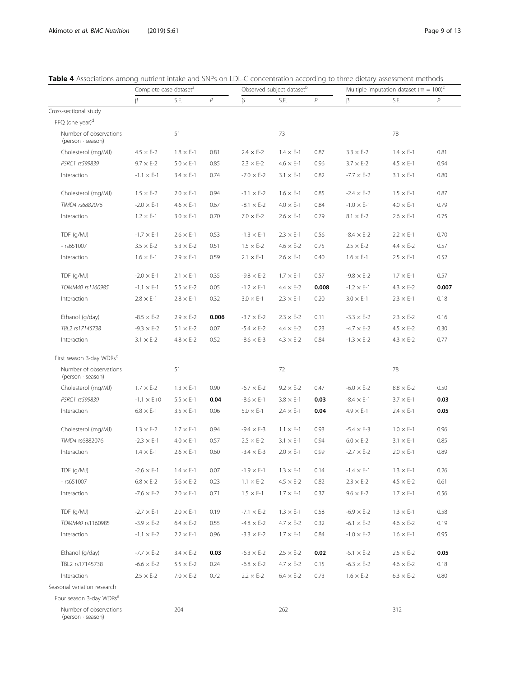<span id="page-8-0"></span>

| <b>Table 4</b> Associations among nutrient intake and SNPs on LDL-C concentration according to three dietary assessment methods |  |
|---------------------------------------------------------------------------------------------------------------------------------|--|
|---------------------------------------------------------------------------------------------------------------------------------|--|

|                                             | Complete case dataset <sup>a</sup> |                    |       |                     | Observed subject dataset <sup>b</sup> |              |                     | Multiple imputation dataset (m = $100$ ) <sup>c</sup> |       |
|---------------------------------------------|------------------------------------|--------------------|-------|---------------------|---------------------------------------|--------------|---------------------|-------------------------------------------------------|-------|
|                                             | β                                  | S.E.               | $\,P$ | β                   | S.E.                                  | $\mathcal P$ | β                   | S.E.                                                  | P     |
| Cross-sectional study                       |                                    |                    |       |                     |                                       |              |                     |                                                       |       |
| FFQ (one year) <sup>d</sup>                 |                                    |                    |       |                     |                                       |              |                     |                                                       |       |
| Number of observations<br>(person · season) |                                    | 51                 |       |                     | 73                                    |              |                     | 78                                                    |       |
| Cholesterol (mg/MJ)                         | $4.5 \times E-2$                   | $1.8 \times E-1$   | 0.81  | $2.4 \times E - 2$  | $1.4 \times E-1$                      | 0.87         | $3.3 \times E-2$    | $1.4 \times E-1$                                      | 0.81  |
| PSRC1 rs599839                              | $9.7 \times E-2$                   | $5.0 \times E-1$   | 0.85  | $2.3 \times E-2$    | $4.6 \times E-1$                      | 0.96         | $3.7 \times E-2$    | $4.5 \times E-1$                                      | 0.94  |
| Interaction                                 | $-1.1 \times E - 1$                | $3.4 \times E-1$   | 0.74  | $-7.0 \times E - 2$ | $3.1 \times E - 1$                    | 0.82         | $-7.7 \times E - 2$ | $3.1 \times E-1$                                      | 0.80  |
| Cholesterol (mg/MJ)                         | $1.5 \times E-2$                   | $2.0 \times E-1$   | 0.94  | $-3.1 \times E - 2$ | $1.6 \times E-1$                      | 0.85         | $-2.4 \times E - 2$ | $1.5 \times E-1$                                      | 0.87  |
| TIMD4 rs6882076                             | $-2.0 \times E - 1$                | $4.6 \times E-1$   | 0.67  | $-8.1 \times E - 2$ | $4.0 \times E-1$                      | 0.84         | $-1.0 \times E-1$   | $4.0 \times E-1$                                      | 0.79  |
| Interaction                                 | $1.2 \times E - 1$                 | $3.0 \times E-1$   | 0.70  | $7.0 \times E-2$    | $2.6 \times E-1$                      | 0.79         | $8.1 \times E - 2$  | $2.6 \times E-1$                                      | 0.75  |
| TDF (g/MJ)                                  | $-1.7 \times E-1$                  | $2.6 \times E-1$   | 0.53  | $-1.3 \times E-1$   | $2.3 \times E-1$                      | 0.56         | $-8.4 \times E - 2$ | $2.2 \times E-1$                                      | 0.70  |
| $-$ rs651007                                | $3.5 \times E-2$                   | $5.3 \times E-2$   | 0.51  | $1.5 \times E-2$    | $4.6 \times E-2$                      | 0.75         | $2.5 \times E-2$    | $4.4 \times E-2$                                      | 0.57  |
| Interaction                                 | $1.6 \times E-1$                   | $2.9 \times E-1$   | 0.59  | $2.1 \times E - 1$  | $2.6 \times F-1$                      | 0.40         | $1.6 \times E-1$    | $2.5 \times E-1$                                      | 0.52  |
| TDF (g/MJ)                                  | $-2.0 \times E - 1$                | $2.1 \times E-1$   | 0.35  | $-9.8 \times E - 2$ | $1.7 \times E-1$                      | 0.57         | $-9.8 \times F - 2$ | $1.7 \times E-1$                                      | 0.57  |
| TOMM40 rs1160985                            | $-1.1 \times E-1$                  | $5.5 \times E-2$   | 0.05  | $-1.2 \times E-1$   | $4.4 \times E-2$                      | 0.008        | $-1.2 \times E-1$   | $4.3 \times E-2$                                      | 0.007 |
| Interaction                                 | $2.8 \times E-1$                   | $2.8 \times E-1$   | 0.32  | $3.0 \times E-1$    | $2.3 \times E-1$                      | 0.20         | $3.0 \times E-1$    | $2.3 \times E - 1$                                    | 0.18  |
| Ethanol (g/day)                             | $-8.5 \times E - 2$                | $2.9 \times E-2$   | 0.006 | $-3.7 \times E - 2$ | $2.3 \times E-2$                      | 0.11         | $-3.3 \times E - 2$ | $2.3 \times E-2$                                      | 0.16  |
| TBL2 rs17145738                             | $-9.3 \times E - 2$                | $5.1 \times E-2$   | 0.07  | $-5.4 \times E - 2$ | $4.4 \times E-2$                      | 0.23         | $-4.7 \times E - 2$ | $4.5 \times E-2$                                      | 0.30  |
| Interaction                                 | $3.1 \times E - 2$                 | $4.8 \times E-2$   | 0.52  | $-8.6 \times E - 3$ | $4.3 \times E-2$                      | 0.84         | $-1.3 \times E - 2$ | $4.3 \times E-2$                                      | 0.77  |
| First season 3-day WDRs <sup>d</sup>        |                                    |                    |       |                     |                                       |              |                     |                                                       |       |
| Number of observations<br>(person · season) |                                    | 51                 |       |                     | 72                                    |              |                     | 78                                                    |       |
| Cholesterol (mg/MJ)                         | $1.7 \times E-2$                   | $1.3 \times E-1$   | 0.90  | $-6.7 \times E - 2$ | $9.2 \times E-2$                      | 0.47         | $-6.0 \times E - 2$ | $8.8 \times E-2$                                      | 0.50  |
| PSRC1 rs599839                              | $-1.1 \times E + 0$                | $5.5 \times E-1$   | 0.04  | $-8.6 \times E - 1$ | $3.8 \times E-1$                      | 0.03         | $-8.4 \times E - 1$ | $3.7 \times E-1$                                      | 0.03  |
| Interaction                                 | $6.8 \times E-1$                   | $3.5 \times E-1$   | 0.06  | $5.0 \times F^{-1}$ | $2.4 \times E-1$                      | 0.04         | $4.9 \times E-1$    | $2.4 \times E - 1$                                    | 0.05  |
| Cholesterol (mg/MJ)                         | $1.3 \times E - 2$                 | $1.7 \times E-1$   | 0.94  | $-9.4 \times E - 3$ | $1.1 \times E - 1$                    | 0.93         | $-5.4 \times E - 3$ | $1.0 \times E-1$                                      | 0.96  |
| TIMD4 rs6882076                             | $-2.3 \times E-1$                  | $4.0 \times F - 1$ | 0.57  | $2.5 \times E-2$    | $3.1 \times E-1$                      | 0.94         | $6.0 \times E-2$    | $3.1 \times E-1$                                      | 0.85  |
| Interaction                                 | $1.4 \times E-1$                   | $2.6 \times E-1$   | 0.60  | $-3.4 \times E - 3$ | $2.0 \times F - 1$                    | 0.99         | $-2.7 \times E - 2$ | $2.0 \times E-1$                                      | 0.89  |
| TDF (g/MJ)                                  | $-2.6 \times E - 1$                | $1.4 \times E - 1$ | 0.07  | $-1.9 \times E-1$   | $1.3 \times E-1$                      | 0.14         | $-1.4 \times E-1$   | $1.3 \times E - 1$                                    | 0.26  |
| $-$ rs651007                                | $6.8 \times E-2$                   | $5.6 \times E - 2$ | 0.23  | $1.1 \times E - 2$  | $4.5 \times E-2$                      | 0.82         | $2.3 \times E-2$    | $4.5 \times E-2$                                      | 0.61  |
| Interaction                                 | $-7.6 \times E - 2$                | $2.0 \times E-1$   | 0.71  | $1.5 \times E-1$    | $1.7 \times E-1$                      | 0.37         | $9.6 \times E - 2$  | $1.7 \times E - 1$                                    | 0.56  |
| TDF (g/MJ)                                  | $-2.7 \times E - 1$                | $2.0 \times E-1$   | 0.19  | $-7.1 \times E - 2$ | $1.3 \times E-1$                      | 0.58         | $-6.9 \times E - 2$ | $1.3 \times E - 1$                                    | 0.58  |
| TOMM40 rs1160985                            | $-3.9 \times E - 2$                | $6.4 \times E - 2$ | 0.55  | $-4.8 \times E - 2$ | $4.7 \times E-2$                      | 0.32         | $-6.1 \times E - 2$ | $4.6 \times E-2$                                      | 0.19  |
| Interaction                                 | $-1.1 \times E - 2$                | $2.2 \times E - 1$ | 0.96  | $-3.3 \times E - 2$ | $1.7 \times E-1$                      | 0.84         | $-1.0 \times E - 2$ | $1.6 \times E-1$                                      | 0.95  |
| Ethanol (g/day)                             | $-7.7 \times E - 2$                | $3.4 \times E - 2$ | 0.03  | $-6.3 \times E - 2$ | $2.5 \times E-2$                      | 0.02         | $-5.1 \times E - 2$ | $2.5 \times E - 2$                                    | 0.05  |
| TBL2 rs17145738                             | $-6.6 \times E - 2$                | $5.5 \times E-2$   | 0.24  | $-6.8 \times E - 2$ | $4.7 \times E-2$                      | 0.15         | $-6.3 \times E - 2$ | $4.6 \times E - 2$                                    | 0.18  |
| Interaction                                 | $2.5 \times E-2$                   | $7.0 \times E-2$   | 0.72  | $2.2 \times E - 2$  | $6.4 \times E-2$                      | 0.73         | $1.6 \times E - 2$  | $6.3 \times E - 2$                                    | 0.80  |
| Seasonal variation research                 |                                    |                    |       |                     |                                       |              |                     |                                                       |       |
| Four season 3-day WDRs <sup>e</sup>         |                                    |                    |       |                     |                                       |              |                     |                                                       |       |
| Number of observations<br>(person · season) |                                    | 204                |       |                     | 262                                   |              |                     | 312                                                   |       |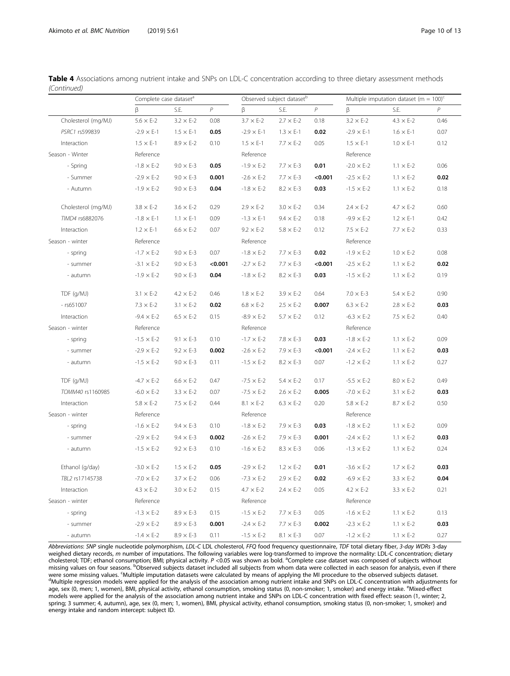|                     | Complete case dataset <sup>a</sup> |                    |         |                     | Observed subject dataset <sup>b</sup> |         | Multiple imputation dataset (m = $100$ ) <sup>c</sup> |                    |      |
|---------------------|------------------------------------|--------------------|---------|---------------------|---------------------------------------|---------|-------------------------------------------------------|--------------------|------|
|                     | β                                  | S.E.               | P       | β                   | S.E.                                  | P       | β                                                     | S.E.               | P    |
| Cholesterol (mg/MJ) | $5.6 \times E-2$                   | $3.2 \times E-2$   | 0.08    | $3.7 \times E-2$    | $2.7 \times E-2$                      | 0.18    | $3.2 \times E-2$                                      | $4.3 \times E-2$   | 0.46 |
| PSRC1 rs599839      | $-2.9 \times E - 1$                | $1.5 \times E-1$   | 0.05    | $-2.9 \times E - 1$ | $1.3 \times E-1$                      | 0.02    | $-2.9 \times E - 1$                                   | $1.6 \times E-1$   | 0.07 |
| Interaction         | $1.5 \times E-1$                   | $8.9 \times E-2$   | 0.10    | $1.5 \times E-1$    | $7.7 \times E-2$                      | 0.05    | $1.5 \times E-1$                                      | $1.0 \times E-1$   | 0.12 |
| Season - Winter     | Reference                          |                    |         | Reference           |                                       |         | Reference                                             |                    |      |
| - Spring            | $-1.8 \times E - 2$                | $9.0 \times E - 3$ | 0.05    | $-1.9 \times E - 2$ | $7.7 \times E-3$                      | 0.01    | $-2.0 \times E - 2$                                   | $1.1 \times E - 2$ | 0.06 |
| - Summer            | $-2.9 \times E - 2$                | $9.0 \times E - 3$ | 0.001   | $-2.6 \times E - 2$ | $7.7 \times E-3$                      | < 0.001 | $-2.5 \times E - 2$                                   | $1.1 \times E - 2$ | 0.02 |
| - Autumn            | $-1.9 \times E - 2$                | $9.0 \times E - 3$ | 0.04    | $-1.8 \times E - 2$ | $8.2 \times E - 3$                    | 0.03    | $-1.5 \times E-2$                                     | $1.1 \times E - 2$ | 0.18 |
| Cholesterol (mg/MJ) | $3.8 \times E-2$                   | $3.6 \times E-2$   | 0.29    | $2.9 \times E-2$    | $3.0 \times E-2$                      | 0.34    | $2.4 \times E - 2$                                    | $4.7 \times E-2$   | 0.60 |
| TIMD4 rs6882076     | $-1.8 \times E-1$                  | $1.1 \times E - 1$ | 0.09    | $-1.3 \times E-1$   | $9.4 \times E-2$                      | 0.18    | $-9.9 \times E - 2$                                   | $1.2 \times E - 1$ | 0.42 |
| Interaction         | $1.2 \times E-1$                   | $6.6 \times E - 2$ | 0.07    | $9.2 \times E-2$    | $5.8 \times E-2$                      | 0.12    | $7.5 \times E-2$                                      | $7.7 \times E-2$   | 0.33 |
| Season - winter     | Reference                          |                    |         | Reference           |                                       |         | Reference                                             |                    |      |
| - spring            | $-1.7 \times E - 2$                | $9.0 \times E - 3$ | 0.07    | $-1.8 \times E - 2$ | $7.7 \times E-3$                      | 0.02    | $-1.9 \times E - 2$                                   | $1.0 \times E-2$   | 0.08 |
| - summer            | $-3.1 \times E - 2$                | $9.0 \times E - 3$ | < 0.001 | $-2.7 \times E - 2$ | $7.7 \times E-3$                      | < 0.001 | $-2.5 \times E - 2$                                   | $1.1 \times E - 2$ | 0.02 |
| - autumn            | $-1.9 \times E - 2$                | $9.0 \times E - 3$ | 0.04    | $-1.8 \times E - 2$ | $8.2 \times E-3$                      | 0.03    | $-1.5 \times E-2$                                     | $1.1 \times E - 2$ | 0.19 |
| TDF (g/MJ)          | $3.1 \times E-2$                   | $4.2 \times E-2$   | 0.46    | $1.8 \times E-2$    | $3.9 \times E-2$                      | 0.64    | $7.0 \times E-3$                                      | $5.4 \times E-2$   | 0.90 |
| $-$ rs651007        | $7.3 \times E - 2$                 | $3.1 \times E-2$   | 0.02    | $6.8 \times E-2$    | $2.5 \times E - 2$                    | 0.007   | $6.3 \times E-2$                                      | $2.8 \times E-2$   | 0.03 |
| Interaction         | $-9.4 \times E - 2$                | $6.5 \times E-2$   | 0.15    | -8.9 $\times$ E-2   | $5.7 \times E-2$                      | 0.12    | $-6.3 \times E - 2$                                   | $7.5 \times E-2$   | 0.40 |
| Season - winter     | Reference                          |                    |         | Reference           |                                       |         | Reference                                             |                    |      |
| - spring            | $-1.5 \times E - 2$                | $9.1 \times E - 3$ | 0.10    | $-1.7 \times E - 2$ | $7.8 \times E-3$                      | 0.03    | $-1.8 \times E - 2$                                   | $1.1 \times E - 2$ | 0.09 |
| - summer            | $-2.9 \times E - 2$                | $9.2 \times E - 3$ | 0.002   | $-2.6 \times E - 2$ | $7.9 \times E-3$                      | < 0.001 | $-2.4 \times E - 2$                                   | $1.1 \times E - 2$ | 0.03 |
| - autumn            | $-1.5 \times E - 2$                | $9.0 \times E - 3$ | 0.11    | $-1.5 \times E - 2$ | $8.2 \times E-3$                      | 0.07    | $-1.2 \times E - 2$                                   | $1.1 \times E - 2$ | 0.27 |
| TDF (g/MJ)          | $-4.7 \times E - 2$                | $6.6 \times E-2$   | 0.47    | $-7.5 \times E - 2$ | $5.4 \times E-2$                      | 0.17    | -5.5 $\times$ E-2                                     | $8.0 \times E - 2$ | 0.49 |
| TOMM40 rs1160985    | $-6.0 \times E - 2$                | $3.3 \times E-2$   | 0.07    | $-7.5 \times E - 2$ | $2.6 \times E-2$                      | 0.005   | $-7.0 \times E - 2$                                   | $3.1 \times E-2$   | 0.03 |
| Interaction         | $5.8 \times E-2$                   | $7.5 \times E-2$   | 0.44    | $8.1 \times E-2$    | $6.3 \times E-2$                      | 0.20    | $5.8 \times E-2$                                      | $8.7 \times E-2$   | 0.50 |
| Season - winter     | Reference                          |                    |         | Reference           |                                       |         | Reference                                             |                    |      |
| - spring            | $-1.6 \times E - 2$                | $9.4 \times E - 3$ | 0.10    | $-1.8 \times E - 2$ | $7.9 \times E-3$                      | 0.03    | $-1.8 \times E - 2$                                   | $1.1 \times E - 2$ | 0.09 |
| - summer            | $-2.9 \times E - 2$                | $9.4 \times E - 3$ | 0.002   | $-2.6 \times E - 2$ | $7.9 \times E-3$                      | 0.001   | $-2.4 \times E - 2$                                   | $1.1 \times E - 2$ | 0.03 |
| - autumn            | $-1.5 \times E - 2$                | $9.2 \times E - 3$ | 0.10    | $-1.6 \times E - 2$ | $8.3 \times E-3$                      | 0.06    | $-1.3 \times E-2$                                     | $1.1 \times E - 2$ | 0.24 |

Table 4 Associations among nutrient intake and SNPs on LDL-C concentration according to three dietary assessment methods (Continued)

Abbreviations: SNP single nucleotide polymorphism, LDL-C LDL cholesterol, FFQ food frequency questionnaire, TDF total dietary fiber, 3-day WDRs 3-day weighed dietary records, m number of imputations. The following variables were log-transformed to improve the normality: LDL-C concentration; dietary cholesterol; TDF; ethanol consumption; BMI; physical activity. P <0.05 was shown as bold. <sup>a</sup>Complete case dataset was composed of subjects without missing values on four seasons. <sup>b</sup>Observed subjects dataset included all subjects from whom data were collected in each season for analysis, even if there were some missing values. <sup>c</sup>Multiple imputation datasets were calculated by means of applying the MI procedure to the observed subjects dataset.<br><sup>d</sup>Multiple regression models were applied for the applysis of the associati <sup>d</sup>Multiple regression models were applied for the analysis of the association among nutrient intake and SNPs on LDL-C concentration with adjustments for age, sex (0, men; 1, women), BMI, physical activity, ethanol consumption, smoking status (0, non-smoker; 1, smoker) and energy intake. <sup>e</sup>Mixed-effect models were applied for the analysis of the association among nutrient intake and SNPs on LDL-C concentration with fixed effect: season (1, winter; 2, spring; 3 summer; 4, autumn), age, sex (0, men; 1, women), BMI, physical activity, ethanol consumption, smoking status (0, non-smoker; 1, smoker) and energy intake and random intercept: subject ID.

Ethanol (g/day)  $-3.0 \times E$ -2  $1.5 \times E$ -2 0.05 -2.9  $\times E$ -2 1.2  $\times E$ -2 0.01 -3.6  $\times E$ -2 1.7  $\times$  E-2 0.03 TBL2 rs17145738 -7.0 × E-2 3.7 × E-2 0.06 -7.3 × E-2 2.9 × E-2 0.02 -6.9 × E-2 3.3 × E-2 0.04 Interaction 4.3 × E-2 3.0 × E-2 0.15 4.7 × E-2 2.4 × E-2 0.05 4.2 × E-2 3.3 × E-2 0.21

- spring -1.3 × E-2 8.9 × E-3 0.15 -1.5 × E-2 7.7 × E-3 0.05 -1.6 × E-2 1.1 × E-2 0.13 - summer -2.9 × E-2  $8.9 \times$  E-3 0.001 -2.4 × E-2 7.7 × E-3 0.002 -2.3 × E-2 1.1 × E-2 0.03 - autumn -1.4 × E-2 8.9 × E-3 0.11 -1.5 × E-2 8.1 × E-3 0.07 -1.2 × E-2 1.1 × E-2 0.27

Season - winter **Reference** Reference **Reference** Reference Reference Reference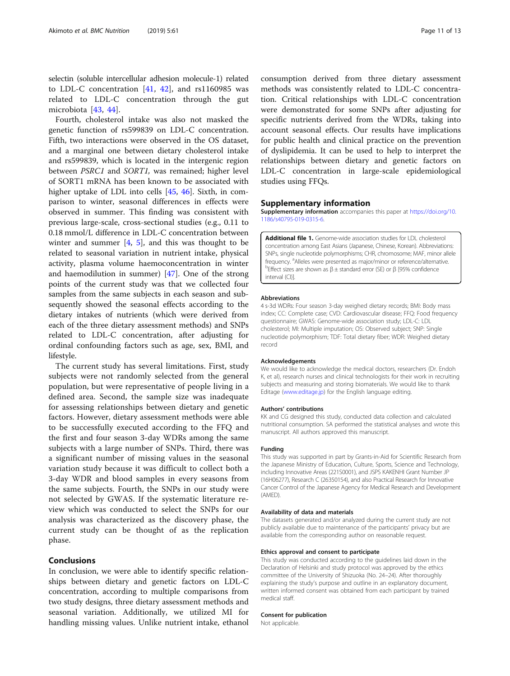<span id="page-10-0"></span>selectin (soluble intercellular adhesion molecule-1) related to LDL-C concentration  $[41, 42]$  $[41, 42]$  $[41, 42]$  $[41, 42]$  $[41, 42]$ , and rs1160985 was related to LDL-C concentration through the gut microbiota [[43](#page-12-0), [44](#page-12-0)].

Fourth, cholesterol intake was also not masked the genetic function of rs599839 on LDL-C concentration. Fifth, two interactions were observed in the OS dataset, and a marginal one between dietary cholesterol intake and rs599839, which is located in the intergenic region between PSRC1 and SORT1, was remained; higher level of SORT1 mRNA has been known to be associated with higher uptake of LDL into cells [\[45,](#page-12-0) [46\]](#page-12-0). Sixth, in comparison to winter, seasonal differences in effects were observed in summer. This finding was consistent with previous large-scale, cross-sectional studies (e.g., 0.11 to 0.18 mmol/L difference in LDL-C concentration between winter and summer  $[4, 5]$  $[4, 5]$  $[4, 5]$  $[4, 5]$  $[4, 5]$ , and this was thought to be related to seasonal variation in nutrient intake, physical activity, plasma volume haemoconcentration in winter and haemodilution in summer) [\[47\]](#page-12-0). One of the strong points of the current study was that we collected four samples from the same subjects in each season and subsequently showed the seasonal effects according to the dietary intakes of nutrients (which were derived from each of the three dietary assessment methods) and SNPs related to LDL-C concentration, after adjusting for ordinal confounding factors such as age, sex, BMI, and lifestyle.

The current study has several limitations. First, study subjects were not randomly selected from the general population, but were representative of people living in a defined area. Second, the sample size was inadequate for assessing relationships between dietary and genetic factors. However, dietary assessment methods were able to be successfully executed according to the FFQ and the first and four season 3-day WDRs among the same subjects with a large number of SNPs. Third, there was a significant number of missing values in the seasonal variation study because it was difficult to collect both a 3-day WDR and blood samples in every seasons from the same subjects. Fourth, the SNPs in our study were not selected by GWAS. If the systematic literature review which was conducted to select the SNPs for our analysis was characterized as the discovery phase, the current study can be thought of as the replication phase.

## Conclusions

In conclusion, we were able to identify specific relationships between dietary and genetic factors on LDL-C concentration, according to multiple comparisons from two study designs, three dietary assessment methods and seasonal variation. Additionally, we utilized MI for handling missing values. Unlike nutrient intake, ethanol

consumption derived from three dietary assessment methods was consistently related to LDL-C concentration. Critical relationships with LDL-C concentration were demonstrated for some SNPs after adjusting for specific nutrients derived from the WDRs, taking into account seasonal effects. Our results have implications for public health and clinical practice on the prevention of dyslipidemia. It can be used to help to interpret the relationships between dietary and genetic factors on LDL-C concentration in large-scale epidemiological studies using FFQs.

#### Supplementary information

Supplementary information accompanies this paper at [https://doi.org/10.](https://doi.org/10.1186/s40795-019-0315-6) [1186/s40795-019-0315-6.](https://doi.org/10.1186/s40795-019-0315-6)

Additional file 1. Genome-wide association studies for LDL cholesterol concentration among East Asians (Japanese, Chinese, Korean). Abbreviations: SNPs, single nucleotide polymorphisms; CHR, chromosome; MAF, minor allele frequency. <sup>a</sup> Alleles were presented as major/minor or reference/alternative.<br>PEffect sizes are shown as  $B +$  standard error (SE) or B 195% confidence <sup>b</sup>Effect sizes are shown as  $β ±$  standard error (SE) or  $β$  [95% confidence interval (CI)].

#### Abbreviations

4 s-3d WDRs: Four season 3-day weighed dietary records; BMI: Body mass index; CC: Complete case; CVD: Cardiovascular disease; FFQ: Food frequency questionnaire; GWAS: Genome-wide association study; LDL-C: LDL cholesterol; MI: Multiple imputation; OS: Observed subject; SNP: Single nucleotide polymorphism; TDF: Total dietary fiber; WDR: Weighed dietary record

#### Acknowledgements

We would like to acknowledge the medical doctors, researchers (Dr. Endoh K, et al), research nurses and clinical technologists for their work in recruiting subjects and measuring and storing biomaterials. We would like to thank Editage [\(www.editage.jp](http://www.editage.jp)) for the English language editing.

#### Authors' contributions

KK and CG designed this study, conducted data collection and calculated nutritional consumption. SA performed the statistical analyses and wrote this manuscript. All authors approved this manuscript.

#### Funding

This study was supported in part by Grants-in-Aid for Scientific Research from the Japanese Ministry of Education, Culture, Sports, Science and Technology, including Innovative Areas (221S0001), and JSPS KAKENHI Grant Number JP (16H06277), Research C (26350154), and also Practical Research for Innovative Cancer Control of the Japanese Agency for Medical Research and Development (AMED).

#### Availability of data and materials

The datasets generated and/or analyzed during the current study are not publicly available due to maintenance of the participants' privacy but are available from the corresponding author on reasonable request.

#### Ethics approval and consent to participate

This study was conducted according to the guidelines laid down in the Declaration of Helsinki and study protocol was approved by the ethics committee of the University of Shizuoka (No. 24–24). After thoroughly explaining the study's purpose and outline in an explanatory document, written informed consent was obtained from each participant by trained medical staff.

#### Consent for publication

Not applicable.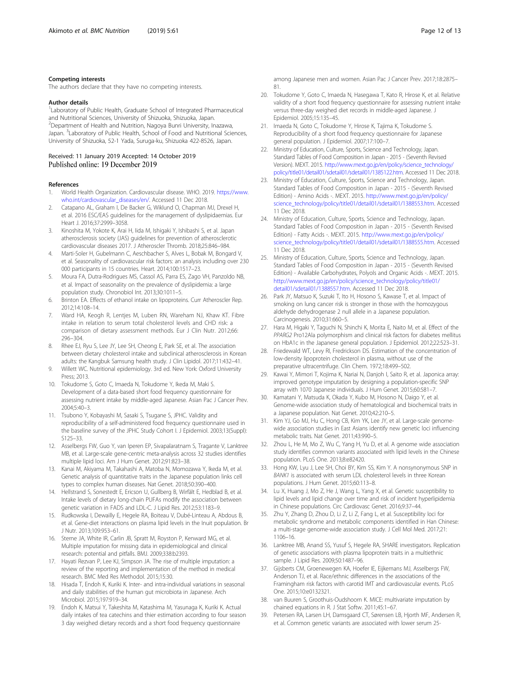#### <span id="page-11-0"></span>Competing interests

The authors declare that they have no competing interests.

#### Author details

<sup>1</sup> Laboratory of Public Health, Graduate School of Integrated Pharmaceutical and Nutritional Sciences, University of Shizuoka, Shizuoka, Japan. 2 Department of Health and Nutrition, Nagoya Bunri University, Inazawa, Japan. <sup>3</sup> Laboratory of Public Health, School of Food and Nutritional Sciences, University of Shizuoka, 52-1 Yada, Suruga-ku, Shizuoka 422-8526, Japan.

#### Received: 11 January 2019 Accepted: 14 October 2019 Published online: 19 December 2019

#### References

- 1. World Health Organization. Cardiovascular disease. WHO. 2019. [https://www.](https://www.who.int/cardiovascular_diseases/en/) [who.int/cardiovascular\\_diseases/en/](https://www.who.int/cardiovascular_diseases/en/). Accessed 11 Dec 2018.
- 2. Catapano AL, Graham I, De Backer G, Wiklund O, Chapman MJ, Drexel H, et al. 2016 ESC/EAS guidelines for the management of dyslipidaemias. Eur Heart J. 2016;37:2999–3058.
- 3. Kinoshita M, Yokote K, Arai H, Iida M, Ishigaki Y, Ishibashi S, et al. Japan atherosclerosis society (JAS) guidelines for prevention of atherosclerotic cardiovascular diseases 2017. J Atheroscler Thromb. 2018;25:846–984.
- 4. Marti-Soler H, Gubelmann C, Aeschbacher S, Alves L, Bobak M, Bongard V, et al. Seasonality of cardiovascular risk factors: an analysis including over 230 000 participants in 15 countries. Heart. 2014;100:1517–23.
- 5. Moura FA, Dutra-Rodrigues MS, Cassol AS, Parra ES, Zago VH, Panzoldo NB, et al. Impact of seasonality on the prevalence of dyslipidemia: a large population study. Chronobiol Int. 2013;30:1011–5.
- 6. Brinton EA. Effects of ethanol intake on lipoproteins. Curr Atheroscler Rep. 2012;14:108–14.
- Ward HA, Keogh R, Lentjes M, Luben RN, Wareham NJ, Khaw KT. Fibre intake in relation to serum total cholesterol levels and CHD risk: a comparison of dietary assessment methods. Eur J Clin Nutr. 2012;66: 296–304.
- Rhee EJ, Ryu S, Lee JY, Lee SH, Cheong E, Park SE, et al. The association between dietary cholesterol intake and subclinical atherosclerosis in Korean adults: the Kangbuk Samsung health study. J Clin Lipidol. 2017;11:432–41.
- 9. Willett WC. Nutritional epidemiology. 3rd ed. New York: Oxford University Press; 2013.
- 10. Tokudome S, Goto C, Imaeda N, Tokudome Y, Ikeda M, Maki S. Development of a data-based short food frequency questionnaire for assessing nutrient intake by middle-aged Japanese. Asian Pac J Cancer Prev. 2004;5:40–3.
- 11. Tsubono Y, Kobayashi M, Sasaki S, Tsugane S, JPHC. Validity and reproducibility of a self-administered food frequency questionnaire used in the baseline survey of the JPHC Study Cohort I. J Epidemiol. 2003;13(Suppl): S125–33.
- 12. Asselbergs FW, Guo Y, van Iperen EP, Sivapalaratnam S, Tragante V, Lanktree MB, et al. Large-scale gene-centric meta-analysis across 32 studies identifies multiple lipid loci. Am J Hum Genet. 2012;91:823–38.
- 13. Kanai M, Akiyama M, Takahashi A, Matoba N, Momozawa Y, Ikeda M, et al. Genetic analysis of quantitative traits in the Japanese population links cell types to complex human diseases. Nat Genet. 2018;50:390–400.
- 14. Hellstrand S, Sonestedt E, Ericson U, Gullberg B, Wirfält E, Hedblad B, et al. Intake levels of dietary long-chain PUFAs modify the association between genetic variation in FADS and LDL-C. J Lipid Res. 2012;53:1183–9.
- 15. Rudkowska I, Dewailly E, Hegele RA, Boiteau V, Dubé-Linteau A, Abdous B, et al. Gene-diet interactions on plasma lipid levels in the Inuit population. Br J Nutr. 2013;109:953–61.
- 16. Sterne JA, White IR, Carlin JB, Spratt M, Royston P, Kenward MG, et al. Multiple imputation for missing data in epidemiological and clinical research: potential and pitfalls. BMJ. 2009;338:b2393.
- 17. Hayati Rezvan P, Lee KJ, Simpson JA. The rise of multiple imputation: a review of the reporting and implementation of the method in medical research. BMC Med Res Methodol. 2015;15:30.
- 18. Hisada T, Endoh K, Kuriki K. Inter- and intra-individual variations in seasonal and daily stabilities of the human gut microbiota in Japanese. Arch Microbiol. 2015;197:919–34.
- 19. Endoh K, Matsui Y, Takeshita M, Katashima M, Yasunaga K, Kuriki K. Actual daily intakes of tea catechins and thier estimation according to four season 3 day weighed dietary records and a short food frequency questionnaire

among Japanese men and women. Asian Pac J Cancer Prev. 2017;18:2875– 81.

- 20. Tokudome Y, Goto C, Imaeda N, Hasegawa T, Kato R, Hirose K, et al. Relative validity of a short food frequency questionnaire for assessing nutrient intake versus three-day weighed diet records in middle-aged Japanese. J Epidemiol. 2005;15:135–45.
- 21. Imaeda N, Goto C, Tokudome Y, Hirose K, Tajima K, Tokudome S. Reproducibility of a short food frequency questionnaire for Japanese general population. J Epidemiol. 2007;17:100–7.
- 22. Ministry of Education, Culture, Sports, Science and Technology, Japan. Standard Tables of Food Composition in Japan - 2015 - (Seventh Revised Version). MEXT. 2015. [http://www.mext.go.jp/en/policy/science\\_technology/](http://www.mext.go.jp/en/policy/science_technology/policy/title01/detail01/sdetail01/sdetail01/1385122.htm) [policy/title01/detail01/sdetail01/sdetail01/1385122.htm.](http://www.mext.go.jp/en/policy/science_technology/policy/title01/detail01/sdetail01/sdetail01/1385122.htm) Accessed 11 Dec 2018.
- 23. Ministry of Education, Culture, Sports, Science and Technology, Japan. Standard Tables of Food Composition in Japan - 2015 - (Seventh Revised Edition) - Amino Acids -. MEXT. 2015. [http://www.mext.go.jp/en/policy/](http://www.mext.go.jp/en/policy/science_technology/policy/title01/detail01/sdetail01/1388553.htm) [science\\_technology/policy/title01/detail01/sdetail01/1388553.htm](http://www.mext.go.jp/en/policy/science_technology/policy/title01/detail01/sdetail01/1388553.htm). Accessed 11 Dec 2018.
- 24. Ministry of Education, Culture, Sports, Science and Technology, Japan. Standard Tables of Food Composition in Japan - 2015 - (Seventh Revised Edition) - Fatty Acids -. MEXT. 2015. [http://www.mext.go.jp/en/policy/](http://www.mext.go.jp/en/policy/science_technology/policy/title01/detail01/sdetail01/1388555.htm) [science\\_technology/policy/title01/detail01/sdetail01/1388555.htm](http://www.mext.go.jp/en/policy/science_technology/policy/title01/detail01/sdetail01/1388555.htm). Accessed 11 Dec 2018.
- 25. Ministry of Education, Culture, Sports, Science and Technology, Japan. Standard Tables of Food Composition in Japan - 2015 - (Seventh Revised Edition) - Available Carbohydrates, Polyols and Organic Acids -. MEXT. 2015. [http://www.mext.go.jp/en/policy/science\\_technology/policy/title01/](http://www.mext.go.jp/en/policy/science_technology/policy/title01/detail01/sdetail01/1388557.htm) [detail01/sdetail01/1388557.htm.](http://www.mext.go.jp/en/policy/science_technology/policy/title01/detail01/sdetail01/1388557.htm) Accessed 11 Dec 2018.
- 26. Park JY, Matsuo K, Suzuki T, Ito H, Hosono S, Kawase T, et al. Impact of smoking on lung cancer risk is stronger in those with the homozygous aldehyde dehydrogenase 2 null allele in a Japanese population. Carcinogenesis. 2010;31:660–5.
- 27. Hara M, Higaki Y, Taguchi N, Shinchi K, Morita E, Naito M, et al. Effect of the PPARG2 Pro12Ala polymorphism and clinical risk factors for diabetes mellitus on HbA1c in the Japanese general population. J Epidemiol. 2012;22:523–31.
- 28. Friedewald WT, Levy RI, Fredrickson DS. Estimation of the concentration of low-density lipoprotein cholesterol in plasma, without use of the preparative ultracentrifuge. Clin Chem. 1972;18:499–502.
- Kawai Y, Mimori T, Kojima K, Nariai N, Danjoh I, Saito R, et al. Japonica array: improved genotype imputation by designing a population-specific SNP array with 1070 Japanese individuals. J Hum Genet. 2015;60:581–7.
- 30. Kamatani Y, Matsuda K, Okada Y, Kubo M, Hosono N, Daigo Y, et al. Genome-wide association study of hematological and biochemical traits in a Japanese population. Nat Genet. 2010;42:210–5.
- 31. Kim YJ, Go MJ, Hu C, Hong CB, Kim YK, Lee JY, et al. Large-scale genomewide association studies in East Asians identify new genetic loci influencing metabolic traits. Nat Genet. 2011;43:990–5.
- 32. Zhou L, He M, Mo Z, Wu C, Yang H, Yu D, et al. A genome wide association study identifies common variants associated with lipid levels in the Chinese population. PLoS One. 2013;8:e82420.
- 33. Hong KW, Lyu J, Lee SH, Choi BY, Kim SS, Kim Y. A nonsynonymous SNP in BANK1 is associated with serum LDL cholesterol levels in three Korean populations. J Hum Genet. 2015;60:113–8.
- 34. Lu X, Huang J, Mo Z, He J, Wang L, Yang X, et al. Genetic susceptibility to lipid levels and lipid change over time and risk of incident hyperlipidemia in Chinese populations. Circ Cardiovasc Genet. 2016;9:37–44.
- 35. Zhu Y, Zhang D, Zhou D, Li Z, Li Z, Fang L, et al. Susceptibility loci for metabolic syndrome and metabolic components identified in Han Chinese: a multi-stage genome-wide association study. J Cell Mol Med. 2017;21: 1106–16.
- 36. Lanktree MB, Anand SS, Yusuf S, Hegele RA, SHARE investigators. Replication of genetic associations with plasma lipoprotein traits in a multiethnic sample. J Lipid Res. 2009;50:1487–96.
- 37. Gijsberts CM, Groenewegen KA, Hoefer IE, Eijkemans MJ, Asselbergs FW, Anderson TJ, et al. Race/ethnic differences in the associations of the Framingham risk factors with carotid IMT and cardiovascular events. PLoS One. 2015;10:e0132321.
- van Buuren S, Groothuis-Oudshoorn K. MICE: multivariate imputation by chained equations in R. J Stat Softw. 2011;45:1–67.
- 39. Petersen RA, Larsen LH, Damsgaard CT, Sørensen LB, Hjorth MF, Andersen R, et al. Common genetic variants are associated with lower serum 25-